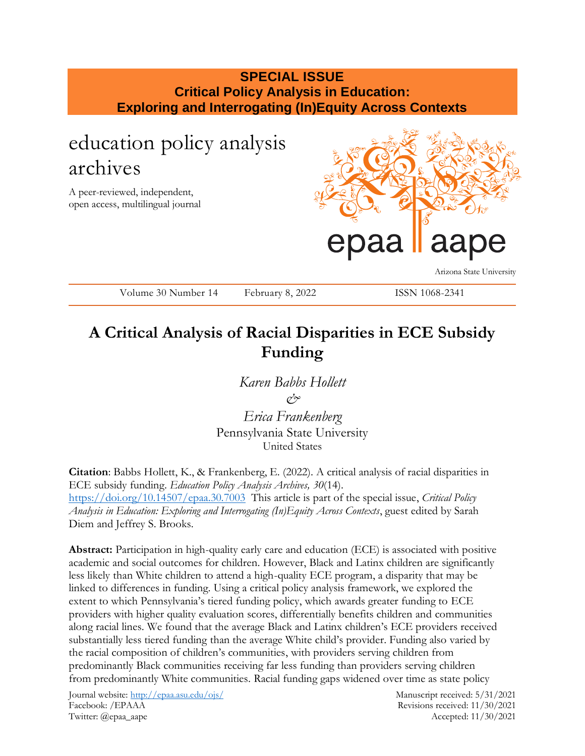## **SPECIAL ISSUE Critical Policy Analysis in Education: Exploring and Interrogating (In)Equity Across Contexts**

# education policy analysis archives

A peer-reviewed, independent, open access, multilingual journal



Arizona State University

Volume 30 Number 14 February 8, 2022 ISSN 1068-2341

## **A Critical Analysis of Racial Disparities in ECE Subsidy Funding**

*Karen Babbs Hollett &*

*Erica Frankenberg* Pennsylvania State University United States

**Citation**: Babbs Hollett, K., & Frankenberg, E. (2022). A critical analysis of racial disparities in ECE subsidy funding. *Education Policy Analysis Archives, 30*(14). <https://doi.org/10.14507/epaa.30.7003> This article is part of the special issue, *Critical Policy Analysis in Education: Exploring and Interrogating (In)Equity Across Contexts*, guest edited by Sarah Diem and Jeffrey S. Brooks.

**Abstract:** Participation in high-quality early care and education (ECE) is associated with positive academic and social outcomes for children. However, Black and Latinx children are significantly less likely than White children to attend a high-quality ECE program, a disparity that may be linked to differences in funding. Using a critical policy analysis framework, we explored the extent to which Pennsylvania's tiered funding policy, which awards greater funding to ECE providers with higher quality evaluation scores, differentially benefits children and communities along racial lines. We found that the average Black and Latinx children's ECE providers received substantially less tiered funding than the average White child's provider. Funding also varied by the racial composition of children's communities, with providers serving children from predominantly Black communities receiving far less funding than providers serving children from predominantly White communities. Racial funding gaps widened over time as state policy

Journal website:<http://epaa.asu.edu/ojs/> Manuscript received: 5/31/2021 Facebook: /EPAAA Revisions received: 11/30/2021 Twitter: @epaa\_aape Accepted: 11/30/2021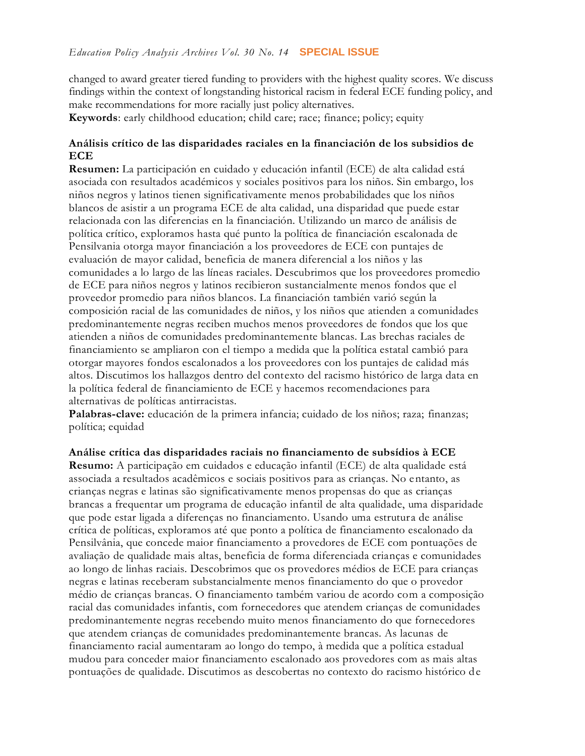changed to award greater tiered funding to providers with the highest quality scores. We discuss findings within the context of longstanding historical racism in federal ECE funding policy, and make recommendations for more racially just policy alternatives.

**Keywords**: early childhood education; child care; race; finance; policy; equity

## **Análisis crítico de las disparidades raciales en la financiación de los subsidios de ECE**

**Resumen:** La participación en cuidado y educación infantil (ECE) de alta calidad está asociada con resultados académicos y sociales positivos para los niños. Sin embargo, los niños negros y latinos tienen significativamente menos probabilidades que los niños blancos de asistir a un programa ECE de alta calidad, una disparidad que puede estar relacionada con las diferencias en la financiación. Utilizando un marco de análisis de política crítico, exploramos hasta qué punto la política de financiación escalonada de Pensilvania otorga mayor financiación a los proveedores de ECE con puntajes de evaluación de mayor calidad, beneficia de manera diferencial a los niños y las comunidades a lo largo de las líneas raciales. Descubrimos que los proveedores promedio de ECE para niños negros y latinos recibieron sustancialmente menos fondos que el proveedor promedio para niños blancos. La financiación también varió según la composición racial de las comunidades de niños, y los niños que atienden a comunidades predominantemente negras reciben muchos menos proveedores de fondos que los que atienden a niños de comunidades predominantemente blancas. Las brechas raciales de financiamiento se ampliaron con el tiempo a medida que la política estatal cambió para otorgar mayores fondos escalonados a los proveedores con los puntajes de calidad más altos. Discutimos los hallazgos dentro del contexto del racismo histórico de larga data en la política federal de financiamiento de ECE y hacemos recomendaciones para alternativas de políticas antirracistas.

**Palabras-clave:** educación de la primera infancia; cuidado de los niños; raza; finanzas; política; equidad

**Análise crítica das disparidades raciais no financiamento de subsídios à ECE**

**Resumo:** A participação em cuidados e educação infantil (ECE) de alta qualidade está associada a resultados acadêmicos e sociais positivos para as crianças. No entanto, as crianças negras e latinas são significativamente menos propensas do que as crianças brancas a frequentar um programa de educação infantil de alta qualidade, uma disparidade que pode estar ligada a diferenças no financiamento. Usando uma estrutura de análise crítica de políticas, exploramos até que ponto a política de financiamento escalonado da Pensilvânia, que concede maior financiamento a provedores de ECE com pontuações de avaliação de qualidade mais altas, beneficia de forma diferenciada crianças e comunidades ao longo de linhas raciais. Descobrimos que os provedores médios de ECE para crianças negras e latinas receberam substancialmente menos financiamento do que o provedor médio de crianças brancas. O financiamento também variou de acordo com a composição racial das comunidades infantis, com fornecedores que atendem crianças de comunidades predominantemente negras recebendo muito menos financiamento do que fornecedores que atendem crianças de comunidades predominantemente brancas. As lacunas de financiamento racial aumentaram ao longo do tempo, à medida que a política estadual mudou para conceder maior financiamento escalonado aos provedores com as mais altas pontuações de qualidade. Discutimos as descobertas no contexto do racismo histórico de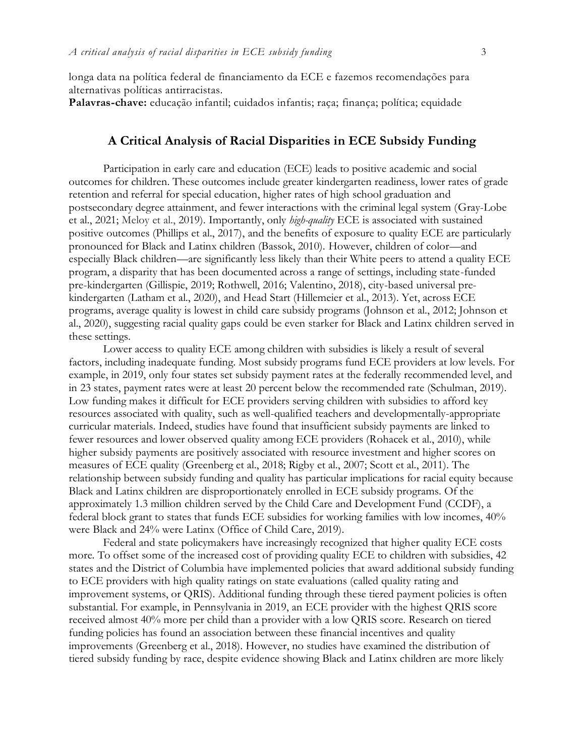longa data na política federal de financiamento da ECE e fazemos recomendações para alternativas políticas antirracistas.

**Palavras-chave:** educação infantil; cuidados infantis; raça; finança; política; equidade

## **A Critical Analysis of Racial Disparities in ECE Subsidy Funding**

Participation in early care and education (ECE) leads to positive academic and social outcomes for children. These outcomes include greater kindergarten readiness, lower rates of grade retention and referral for special education, higher rates of high school graduation and postsecondary degree attainment, and fewer interactions with the criminal legal system (Gray-Lobe et al., 2021; Meloy et al., 2019). Importantly, only *high-quality* ECE is associated with sustained positive outcomes (Phillips et al., 2017), and the benefits of exposure to quality ECE are particularly pronounced for Black and Latinx children (Bassok, 2010). However, children of color—and especially Black children—are significantly less likely than their White peers to attend a quality ECE program, a disparity that has been documented across a range of settings, including state-funded pre-kindergarten (Gillispie, 2019; Rothwell, 2016; Valentino, 2018), city-based universal prekindergarten (Latham et al., 2020), and Head Start (Hillemeier et al., 2013). Yet, across ECE programs, average quality is lowest in child care subsidy programs (Johnson et al., 2012; Johnson et al., 2020), suggesting racial quality gaps could be even starker for Black and Latinx children served in these settings.

Lower access to quality ECE among children with subsidies is likely a result of several factors, including inadequate funding. Most subsidy programs fund ECE providers at low levels. For example, in 2019, only four states set subsidy payment rates at the federally recommended level, and in 23 states, payment rates were at least 20 percent below the recommended rate (Schulman, 2019). Low funding makes it difficult for ECE providers serving children with subsidies to afford key resources associated with quality, such as well-qualified teachers and developmentally-appropriate curricular materials. Indeed, studies have found that insufficient subsidy payments are linked to fewer resources and lower observed quality among ECE providers (Rohacek et al., 2010), while higher subsidy payments are positively associated with resource investment and higher scores on measures of ECE quality (Greenberg et al., 2018; Rigby et al., 2007; Scott et al., 2011). The relationship between subsidy funding and quality has particular implications for racial equity because Black and Latinx children are disproportionately enrolled in ECE subsidy programs. Of the approximately 1.3 million children served by the Child Care and Development Fund (CCDF), a federal block grant to states that funds ECE subsidies for working families with low incomes, 40% were Black and 24% were Latinx (Office of Child Care, 2019).

Federal and state policymakers have increasingly recognized that higher quality ECE costs more. To offset some of the increased cost of providing quality ECE to children with subsidies, 42 states and the District of Columbia have implemented policies that award additional subsidy funding to ECE providers with high quality ratings on state evaluations (called quality rating and improvement systems, or QRIS). Additional funding through these tiered payment policies is often substantial. For example, in Pennsylvania in 2019, an ECE provider with the highest QRIS score received almost 40% more per child than a provider with a low QRIS score. Research on tiered funding policies has found an association between these financial incentives and quality improvements (Greenberg et al., 2018). However, no studies have examined the distribution of tiered subsidy funding by race, despite evidence showing Black and Latinx children are more likely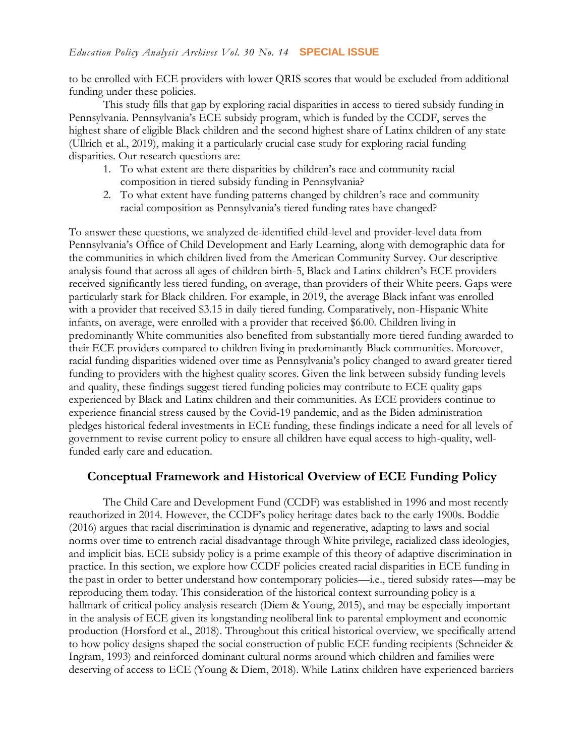to be enrolled with ECE providers with lower QRIS scores that would be excluded from additional funding under these policies.

This study fills that gap by exploring racial disparities in access to tiered subsidy funding in Pennsylvania. Pennsylvania's ECE subsidy program, which is funded by the CCDF, serves the highest share of eligible Black children and the second highest share of Latinx children of any state (Ullrich et al., 2019), making it a particularly crucial case study for exploring racial funding disparities. Our research questions are:

- 1. To what extent are there disparities by children's race and community racial composition in tiered subsidy funding in Pennsylvania?
- 2. To what extent have funding patterns changed by children's race and community racial composition as Pennsylvania's tiered funding rates have changed?

To answer these questions, we analyzed de-identified child-level and provider-level data from Pennsylvania's Office of Child Development and Early Learning, along with demographic data for the communities in which children lived from the American Community Survey. Our descriptive analysis found that across all ages of children birth-5, Black and Latinx children's ECE providers received significantly less tiered funding, on average, than providers of their White peers. Gaps were particularly stark for Black children. For example, in 2019, the average Black infant was enrolled with a provider that received \$3.15 in daily tiered funding. Comparatively, non-Hispanic White infants, on average, were enrolled with a provider that received \$6.00. Children living in predominantly White communities also benefited from substantially more tiered funding awarded to their ECE providers compared to children living in predominantly Black communities. Moreover, racial funding disparities widened over time as Pennsylvania's policy changed to award greater tiered funding to providers with the highest quality scores. Given the link between subsidy funding levels and quality, these findings suggest tiered funding policies may contribute to ECE quality gaps experienced by Black and Latinx children and their communities. As ECE providers continue to experience financial stress caused by the Covid-19 pandemic, and as the Biden administration pledges historical federal investments in ECE funding, these findings indicate a need for all levels of government to revise current policy to ensure all children have equal access to high-quality, wellfunded early care and education.

## **Conceptual Framework and Historical Overview of ECE Funding Policy**

The Child Care and Development Fund (CCDF) was established in 1996 and most recently reauthorized in 2014. However, the CCDF's policy heritage dates back to the early 1900s. Boddie (2016) argues that racial discrimination is dynamic and regenerative, adapting to laws and social norms over time to entrench racial disadvantage through White privilege, racialized class ideologies, and implicit bias. ECE subsidy policy is a prime example of this theory of adaptive discrimination in practice. In this section, we explore how CCDF policies created racial disparities in ECE funding in the past in order to better understand how contemporary policies—i.e., tiered subsidy rates—may be reproducing them today. This consideration of the historical context surrounding policy is a hallmark of critical policy analysis research (Diem & Young, 2015), and may be especially important in the analysis of ECE given its longstanding neoliberal link to parental employment and economic production (Horsford et al., 2018). Throughout this critical historical overview, we specifically attend to how policy designs shaped the social construction of public ECE funding recipients (Schneider & Ingram, 1993) and reinforced dominant cultural norms around which children and families were deserving of access to ECE (Young & Diem, 2018). While Latinx children have experienced barriers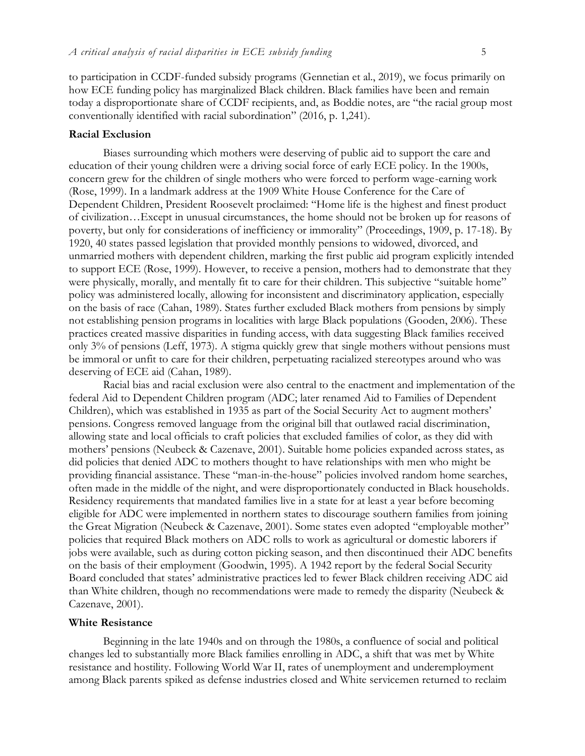to participation in CCDF-funded subsidy programs (Gennetian et al., 2019), we focus primarily on how ECE funding policy has marginalized Black children. Black families have been and remain today a disproportionate share of CCDF recipients, and, as Boddie notes, are "the racial group most conventionally identified with racial subordination" (2016, p. 1,241).

#### **Racial Exclusion**

Biases surrounding which mothers were deserving of public aid to support the care and education of their young children were a driving social force of early ECE policy. In the 1900s, concern grew for the children of single mothers who were forced to perform wage-earning work (Rose, 1999). In a landmark address at the 1909 White House Conference for the Care of Dependent Children, President Roosevelt proclaimed: "Home life is the highest and finest product of civilization…Except in unusual circumstances, the home should not be broken up for reasons of poverty, but only for considerations of inefficiency or immorality" (Proceedings, 1909, p. 17-18). By 1920, 40 states passed legislation that provided monthly pensions to widowed, divorced, and unmarried mothers with dependent children, marking the first public aid program explicitly intended to support ECE (Rose, 1999). However, to receive a pension, mothers had to demonstrate that they were physically, morally, and mentally fit to care for their children. This subjective "suitable home" policy was administered locally, allowing for inconsistent and discriminatory application, especially on the basis of race (Cahan, 1989). States further excluded Black mothers from pensions by simply not establishing pension programs in localities with large Black populations (Gooden, 2006). These practices created massive disparities in funding access, with data suggesting Black families received only 3% of pensions (Leff, 1973). A stigma quickly grew that single mothers without pensions must be immoral or unfit to care for their children, perpetuating racialized stereotypes around who was deserving of ECE aid (Cahan, 1989).

Racial bias and racial exclusion were also central to the enactment and implementation of the federal Aid to Dependent Children program (ADC; later renamed Aid to Families of Dependent Children), which was established in 1935 as part of the Social Security Act to augment mothers' pensions. Congress removed language from the original bill that outlawed racial discrimination, allowing state and local officials to craft policies that excluded families of color, as they did with mothers' pensions (Neubeck & Cazenave, 2001). Suitable home policies expanded across states, as did policies that denied ADC to mothers thought to have relationships with men who might be providing financial assistance. These "man-in-the-house" policies involved random home searches, often made in the middle of the night, and were disproportionately conducted in Black households. Residency requirements that mandated families live in a state for at least a year before becoming eligible for ADC were implemented in northern states to discourage southern families from joining the Great Migration (Neubeck & Cazenave, 2001). Some states even adopted "employable mother" policies that required Black mothers on ADC rolls to work as agricultural or domestic laborers if jobs were available, such as during cotton picking season, and then discontinued their ADC benefits on the basis of their employment (Goodwin, 1995). A 1942 report by the federal Social Security Board concluded that states' administrative practices led to fewer Black children receiving ADC aid than White children, though no recommendations were made to remedy the disparity (Neubeck & Cazenave, 2001).

#### **White Resistance**

Beginning in the late 1940s and on through the 1980s, a confluence of social and political changes led to substantially more Black families enrolling in ADC, a shift that was met by White resistance and hostility. Following World War II, rates of unemployment and underemployment among Black parents spiked as defense industries closed and White servicemen returned to reclaim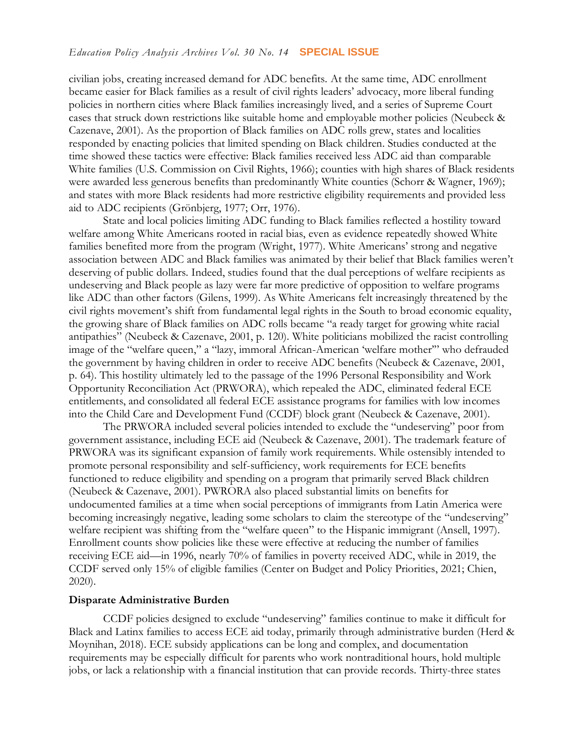civilian jobs, creating increased demand for ADC benefits. At the same time, ADC enrollment became easier for Black families as a result of civil rights leaders' advocacy, more liberal funding policies in northern cities where Black families increasingly lived, and a series of Supreme Court cases that struck down restrictions like suitable home and employable mother policies (Neubeck & Cazenave, 2001). As the proportion of Black families on ADC rolls grew, states and localities responded by enacting policies that limited spending on Black children. Studies conducted at the time showed these tactics were effective: Black families received less ADC aid than comparable White families (U.S. Commission on Civil Rights, 1966); counties with high shares of Black residents were awarded less generous benefits than predominantly White counties (Schorr & Wagner, 1969); and states with more Black residents had more restrictive eligibility requirements and provided less aid to ADC recipients (Grönbjerg, 1977; Orr, 1976).

State and local policies limiting ADC funding to Black families reflected a hostility toward welfare among White Americans rooted in racial bias, even as evidence repeatedly showed White families benefited more from the program (Wright, 1977). White Americans' strong and negative association between ADC and Black families was animated by their belief that Black families weren't deserving of public dollars. Indeed, studies found that the dual perceptions of welfare recipients as undeserving and Black people as lazy were far more predictive of opposition to welfare programs like ADC than other factors (Gilens, 1999). As White Americans felt increasingly threatened by the civil rights movement's shift from fundamental legal rights in the South to broad economic equality, the growing share of Black families on ADC rolls became "a ready target for growing white racial antipathies" (Neubeck & Cazenave, 2001, p. 120). White politicians mobilized the racist controlling image of the "welfare queen," a "lazy, immoral African-American 'welfare mother'" who defrauded the government by having children in order to receive ADC benefits (Neubeck & Cazenave, 2001, p. 64). This hostility ultimately led to the passage of the 1996 Personal Responsibility and Work Opportunity Reconciliation Act (PRWORA), which repealed the ADC, eliminated federal ECE entitlements, and consolidated all federal ECE assistance programs for families with low incomes into the Child Care and Development Fund (CCDF) block grant (Neubeck & Cazenave, 2001).

The PRWORA included several policies intended to exclude the "undeserving" poor from government assistance, including ECE aid (Neubeck & Cazenave, 2001). The trademark feature of PRWORA was its significant expansion of family work requirements. While ostensibly intended to promote personal responsibility and self-sufficiency, work requirements for ECE benefits functioned to reduce eligibility and spending on a program that primarily served Black children (Neubeck & Cazenave, 2001). PWRORA also placed substantial limits on benefits for undocumented families at a time when social perceptions of immigrants from Latin America were becoming increasingly negative, leading some scholars to claim the stereotype of the "undeserving" welfare recipient was shifting from the "welfare queen" to the Hispanic immigrant (Ansell, 1997). Enrollment counts show policies like these were effective at reducing the number of families receiving ECE aid—in 1996, nearly 70% of families in poverty received ADC, while in 2019, the CCDF served only 15% of eligible families (Center on Budget and Policy Priorities, 2021; Chien, 2020).

#### **Disparate Administrative Burden**

CCDF policies designed to exclude "undeserving" families continue to make it difficult for Black and Latinx families to access ECE aid today, primarily through administrative burden (Herd & Moynihan, 2018). ECE subsidy applications can be long and complex, and documentation requirements may be especially difficult for parents who work nontraditional hours, hold multiple jobs, or lack a relationship with a financial institution that can provide records. Thirty-three states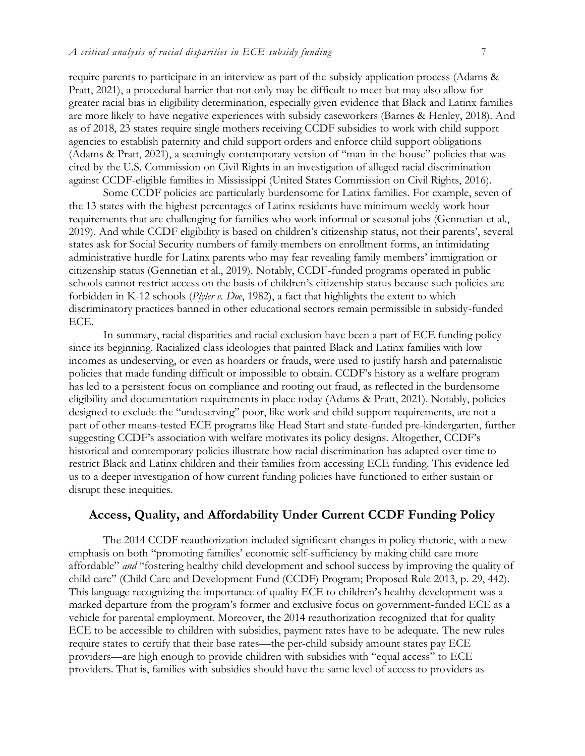require parents to participate in an interview as part of the subsidy application process (Adams & Pratt, 2021), a procedural barrier that not only may be difficult to meet but may also allow for greater racial bias in eligibility determination, especially given evidence that Black and Latinx families are more likely to have negative experiences with subsidy caseworkers (Barnes & Henley, 2018). And as of 2018, 23 states require single mothers receiving CCDF subsidies to work with child support agencies to establish paternity and child support orders and enforce child support obligations (Adams & Pratt, 2021), a seemingly contemporary version of "man-in-the-house" policies that was cited by the U.S. Commission on Civil Rights in an investigation of alleged racial discrimination against CCDF-eligible families in Mississippi (United States Commission on Civil Rights, 2016).

Some CCDF policies are particularly burdensome for Latinx families. For example, seven of the 13 states with the highest percentages of Latinx residents have minimum weekly work hour requirements that are challenging for families who work informal or seasonal jobs (Gennetian et al., 2019). And while CCDF eligibility is based on children's citizenship status, not their parents', several states ask for Social Security numbers of family members on enrollment forms, an intimidating administrative hurdle for Latinx parents who may fear revealing family members' immigration or citizenship status (Gennetian et al., 2019). Notably, CCDF-funded programs operated in public schools cannot restrict access on the basis of children's citizenship status because such policies are forbidden in K-12 schools (*Plyler v. Doe*, 1982), a fact that highlights the extent to which discriminatory practices banned in other educational sectors remain permissible in subsidy-funded ECE.

In summary, racial disparities and racial exclusion have been a part of ECE funding policy since its beginning. Racialized class ideologies that painted Black and Latinx families with low incomes as undeserving, or even as hoarders or frauds, were used to justify harsh and paternalistic policies that made funding difficult or impossible to obtain. CCDF's history as a welfare program has led to a persistent focus on compliance and rooting out fraud, as reflected in the burdensome eligibility and documentation requirements in place today (Adams & Pratt, 2021). Notably, policies designed to exclude the "undeserving" poor, like work and child support requirements, are not a part of other means-tested ECE programs like Head Start and state-funded pre-kindergarten, further suggesting CCDF's association with welfare motivates its policy designs. Altogether, CCDF's historical and contemporary policies illustrate how racial discrimination has adapted over time to restrict Black and Latinx children and their families from accessing ECE funding. This evidence led us to a deeper investigation of how current funding policies have functioned to either sustain or disrupt these inequities.

## **Access, Quality, and Affordability Under Current CCDF Funding Policy**

The 2014 CCDF reauthorization included significant changes in policy rhetoric, with a new emphasis on both "promoting families' economic self-sufficiency by making child care more affordable" *and* "fostering healthy child development and school success by improving the quality of child care" (Child Care and Development Fund (CCDF) Program; Proposed Rule 2013, p. 29, 442). This language recognizing the importance of quality ECE to children's healthy development was a marked departure from the program's former and exclusive focus on government-funded ECE as a vehicle for parental employment. Moreover, the 2014 reauthorization recognized that for quality ECE to be accessible to children with subsidies, payment rates have to be adequate. The new rules require states to certify that their base rates—the per-child subsidy amount states pay ECE providers—are high enough to provide children with subsidies with "equal access" to ECE providers. That is, families with subsidies should have the same level of access to providers as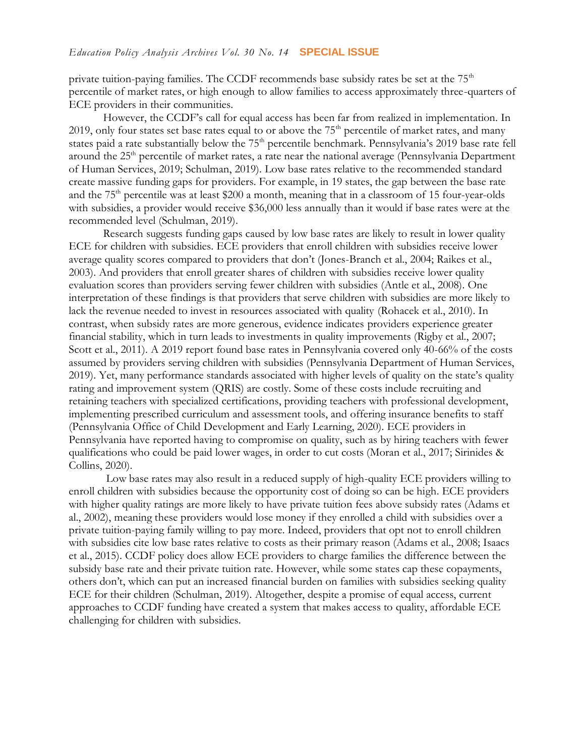private tuition-paying families. The CCDF recommends base subsidy rates be set at the  $75<sup>th</sup>$ percentile of market rates, or high enough to allow families to access approximately three-quarters of ECE providers in their communities.

However, the CCDF's call for equal access has been far from realized in implementation. In 2019, only four states set base rates equal to or above the 75<sup>th</sup> percentile of market rates, and many states paid a rate substantially below the 75<sup>th</sup> percentile benchmark. Pennsylvania's 2019 base rate fell around the 25<sup>th</sup> percentile of market rates, a rate near the national average (Pennsylvania Department of Human Services, 2019; Schulman, 2019). Low base rates relative to the recommended standard create massive funding gaps for providers. For example, in 19 states, the gap between the base rate and the  $75<sup>th</sup>$  percentile was at least \$200 a month, meaning that in a classroom of 15 four-year-olds with subsidies, a provider would receive \$36,000 less annually than it would if base rates were at the recommended level (Schulman, 2019).

Research suggests funding gaps caused by low base rates are likely to result in lower quality ECE for children with subsidies. ECE providers that enroll children with subsidies receive lower average quality scores compared to providers that don't (Jones-Branch et al., 2004; Raikes et al., 2003). And providers that enroll greater shares of children with subsidies receive lower quality evaluation scores than providers serving fewer children with subsidies (Antle et al., 2008). One interpretation of these findings is that providers that serve children with subsidies are more likely to lack the revenue needed to invest in resources associated with quality (Rohacek et al., 2010). In contrast, when subsidy rates are more generous, evidence indicates providers experience greater financial stability, which in turn leads to investments in quality improvements (Rigby et al., 2007; Scott et al., 2011). A 2019 report found base rates in Pennsylvania covered only 40-66% of the costs assumed by providers serving children with subsidies (Pennsylvania Department of Human Services, 2019). Yet, many performance standards associated with higher levels of quality on the state's quality rating and improvement system (QRIS) are costly. Some of these costs include recruiting and retaining teachers with specialized certifications, providing teachers with professional development, implementing prescribed curriculum and assessment tools, and offering insurance benefits to staff (Pennsylvania Office of Child Development and Early Learning, 2020). ECE providers in Pennsylvania have reported having to compromise on quality, such as by hiring teachers with fewer qualifications who could be paid lower wages, in order to cut costs (Moran et al., 2017; Sirinides & Collins, 2020).

Low base rates may also result in a reduced supply of high-quality ECE providers willing to enroll children with subsidies because the opportunity cost of doing so can be high. ECE providers with higher quality ratings are more likely to have private tuition fees above subsidy rates (Adams et al., 2002), meaning these providers would lose money if they enrolled a child with subsidies over a private tuition-paying family willing to pay more. Indeed, providers that opt not to enroll children with subsidies cite low base rates relative to costs as their primary reason (Adams et al., 2008; Isaacs et al., 2015). CCDF policy does allow ECE providers to charge families the difference between the subsidy base rate and their private tuition rate. However, while some states cap these copayments, others don't, which can put an increased financial burden on families with subsidies seeking quality ECE for their children (Schulman, 2019). Altogether, despite a promise of equal access, current approaches to CCDF funding have created a system that makes access to quality, affordable ECE challenging for children with subsidies.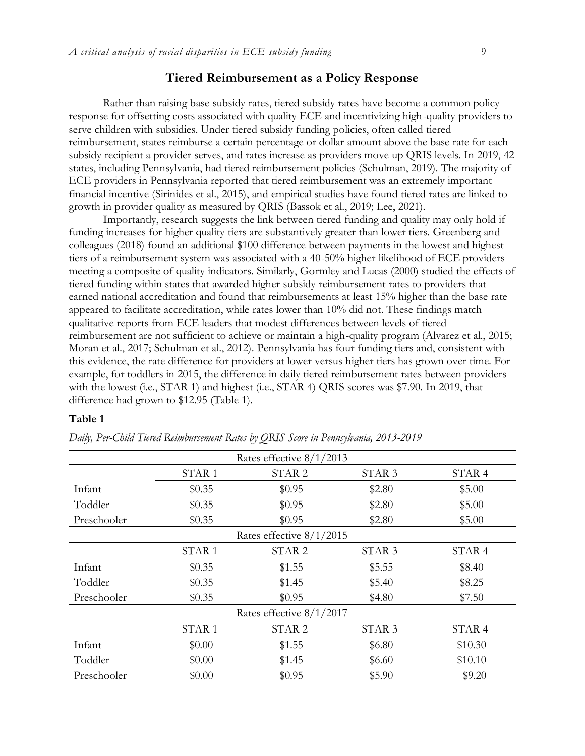#### **Tiered Reimbursement as a Policy Response**

Rather than raising base subsidy rates, tiered subsidy rates have become a common policy response for offsetting costs associated with quality ECE and incentivizing high-quality providers to serve children with subsidies. Under tiered subsidy funding policies, often called tiered reimbursement, states reimburse a certain percentage or dollar amount above the base rate for each subsidy recipient a provider serves, and rates increase as providers move up QRIS levels. In 2019, 42 states, including Pennsylvania, had tiered reimbursement policies (Schulman, 2019). The majority of ECE providers in Pennsylvania reported that tiered reimbursement was an extremely important financial incentive (Sirinides et al., 2015), and empirical studies have found tiered rates are linked to growth in provider quality as measured by QRIS (Bassok et al., 2019; Lee, 2021).

Importantly, research suggests the link between tiered funding and quality may only hold if funding increases for higher quality tiers are substantively greater than lower tiers. Greenberg and colleagues (2018) found an additional \$100 difference between payments in the lowest and highest tiers of a reimbursement system was associated with a 40-50% higher likelihood of ECE providers meeting a composite of quality indicators. Similarly, Gormley and Lucas (2000) studied the effects of tiered funding within states that awarded higher subsidy reimbursement rates to providers that earned national accreditation and found that reimbursements at least 15% higher than the base rate appeared to facilitate accreditation, while rates lower than 10% did not. These findings match qualitative reports from ECE leaders that modest differences between levels of tiered reimbursement are not sufficient to achieve or maintain a high-quality program (Alvarez et al., 2015; Moran et al., 2017; Schulman et al., 2012). Pennsylvania has four funding tiers and, consistent with this evidence, the rate difference for providers at lower versus higher tiers has grown over time. For example, for toddlers in 2015, the difference in daily tiered reimbursement rates between providers with the lowest (i.e., STAR 1) and highest (i.e., STAR 4) QRIS scores was \$7.90. In 2019, that difference had grown to \$12.95 (Table 1).

#### **Table 1**

| Rates effective $8/1/2013$ |                   |                            |                   |                   |  |  |  |  |
|----------------------------|-------------------|----------------------------|-------------------|-------------------|--|--|--|--|
|                            | STAR <sub>1</sub> | STAR <sub>2</sub>          | STAR <sub>3</sub> | STAR <sub>4</sub> |  |  |  |  |
| Infant                     | \$0.35            | \$0.95                     | \$2.80            | \$5.00            |  |  |  |  |
| Toddler                    | \$0.35            | \$0.95                     | \$2.80            | \$5.00            |  |  |  |  |
| Preschooler                | \$0.35            | \$0.95                     | \$2.80            | \$5.00            |  |  |  |  |
|                            |                   | Rates effective $8/1/2015$ |                   |                   |  |  |  |  |
|                            | STAR <sub>1</sub> | STAR <sub>2</sub>          | STAR <sub>3</sub> | STAR <sub>4</sub> |  |  |  |  |
| Infant                     | \$0.35            | \$1.55                     | \$5.55            | \$8.40            |  |  |  |  |
| Toddler                    | \$0.35            | \$1.45                     | \$5.40            | \$8.25            |  |  |  |  |
| Preschooler                | \$0.35            | \$0.95                     | \$4.80            | \$7.50            |  |  |  |  |
|                            |                   | Rates effective $8/1/2017$ |                   |                   |  |  |  |  |
|                            | STAR <sub>1</sub> | STAR <sub>2</sub>          | STAR <sub>3</sub> | STAR <sub>4</sub> |  |  |  |  |
| Infant                     | \$0.00            | \$1.55                     | \$6.80            | \$10.30           |  |  |  |  |
| Toddler                    | \$0.00            | \$1.45                     | \$6.60            | \$10.10           |  |  |  |  |
| Preschooler                | \$0.00            | \$0.95                     | \$5.90            | \$9.20            |  |  |  |  |

*Daily, Per-Child Tiered Reimbursement Rates by QRIS Score in Pennsylvania, 2013-2019*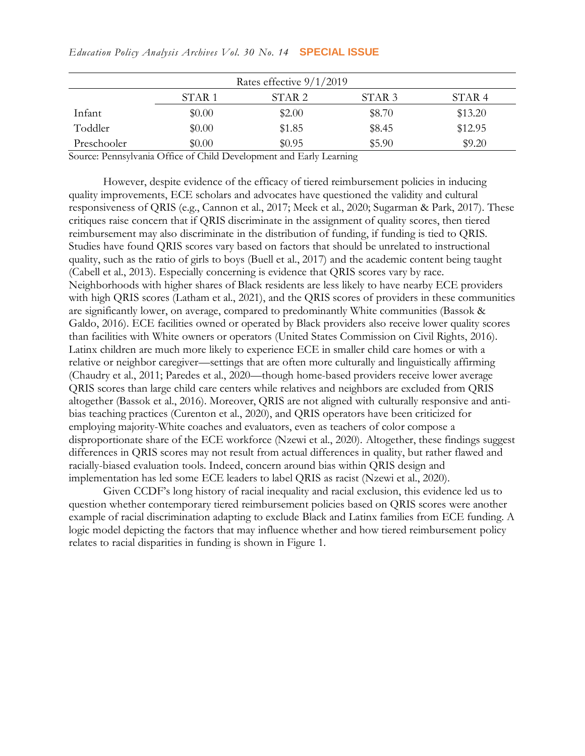|             |                   | Rates effective $9/1/2019$ |                   |                   |
|-------------|-------------------|----------------------------|-------------------|-------------------|
|             | STAR <sub>1</sub> | STAR <sub>2</sub>          | STAR <sub>3</sub> | STAR <sub>4</sub> |
| Infant      | \$0.00            | \$2.00                     | \$8.70            | \$13.20           |
| Toddler     | \$0.00            | \$1.85                     | \$8.45            | \$12.95           |
| Preschooler | \$0.00            | \$0.95                     | \$5.90            | \$9.20            |

Source: Pennsylvania Office of Child Development and Early Learning

However, despite evidence of the efficacy of tiered reimbursement policies in inducing quality improvements, ECE scholars and advocates have questioned the validity and cultural responsiveness of QRIS (e.g., Cannon et al., 2017; Meek et al., 2020; Sugarman & Park, 2017). These critiques raise concern that if QRIS discriminate in the assignment of quality scores, then tiered reimbursement may also discriminate in the distribution of funding, if funding is tied to QRIS. Studies have found QRIS scores vary based on factors that should be unrelated to instructional quality, such as the ratio of girls to boys (Buell et al., 2017) and the academic content being taught (Cabell et al., 2013). Especially concerning is evidence that QRIS scores vary by race. Neighborhoods with higher shares of Black residents are less likely to have nearby ECE providers with high QRIS scores (Latham et al., 2021), and the QRIS scores of providers in these communities are significantly lower, on average, compared to predominantly White communities (Bassok & Galdo, 2016). ECE facilities owned or operated by Black providers also receive lower quality scores than facilities with White owners or operators (United States Commission on Civil Rights, 2016). Latinx children are much more likely to experience ECE in smaller child care homes or with a relative or neighbor caregiver—settings that are often more culturally and linguistically affirming (Chaudry et al., 2011; Paredes et al., 2020—though home-based providers receive lower average QRIS scores than large child care centers while relatives and neighbors are excluded from QRIS altogether (Bassok et al., 2016). Moreover, QRIS are not aligned with culturally responsive and antibias teaching practices (Curenton et al., 2020), and QRIS operators have been criticized for employing majority-White coaches and evaluators, even as teachers of color compose a disproportionate share of the ECE workforce (Nzewi et al., 2020). Altogether, these findings suggest differences in QRIS scores may not result from actual differences in quality, but rather flawed and racially-biased evaluation tools. Indeed, concern around bias within QRIS design and implementation has led some ECE leaders to label QRIS as racist (Nzewi et al., 2020).

Given CCDF's long history of racial inequality and racial exclusion, this evidence led us to question whether contemporary tiered reimbursement policies based on QRIS scores were another example of racial discrimination adapting to exclude Black and Latinx families from ECE funding. A logic model depicting the factors that may influence whether and how tiered reimbursement policy relates to racial disparities in funding is shown in Figure 1.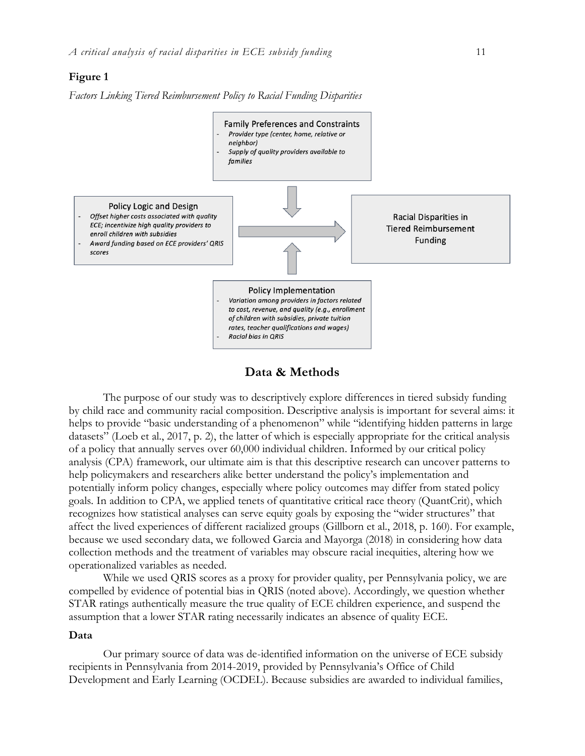#### **Figure 1**

*Factors Linking Tiered Reimbursement Policy to Racial Funding Disparities*



## **Data & Methods**

The purpose of our study was to descriptively explore differences in tiered subsidy funding by child race and community racial composition. Descriptive analysis is important for several aims: it helps to provide "basic understanding of a phenomenon" while "identifying hidden patterns in large datasets" (Loeb et al., 2017, p. 2), the latter of which is especially appropriate for the critical analysis of a policy that annually serves over 60,000 individual children. Informed by our critical policy analysis (CPA) framework, our ultimate aim is that this descriptive research can uncover patterns to help policymakers and researchers alike better understand the policy's implementation and potentially inform policy changes, especially where policy outcomes may differ from stated policy goals. In addition to CPA, we applied tenets of quantitative critical race theory (QuantCrit), which recognizes how statistical analyses can serve equity goals by exposing the "wider structures" that affect the lived experiences of different racialized groups (Gillborn et al., 2018, p. 160). For example, because we used secondary data, we followed Garcia and Mayorga (2018) in considering how data collection methods and the treatment of variables may obscure racial inequities, altering how we operationalized variables as needed.

While we used QRIS scores as a proxy for provider quality, per Pennsylvania policy, we are compelled by evidence of potential bias in QRIS (noted above). Accordingly, we question whether STAR ratings authentically measure the true quality of ECE children experience, and suspend the assumption that a lower STAR rating necessarily indicates an absence of quality ECE.

#### **Data**

Our primary source of data was de-identified information on the universe of ECE subsidy recipients in Pennsylvania from 2014-2019, provided by Pennsylvania's Office of Child Development and Early Learning (OCDEL). Because subsidies are awarded to individual families,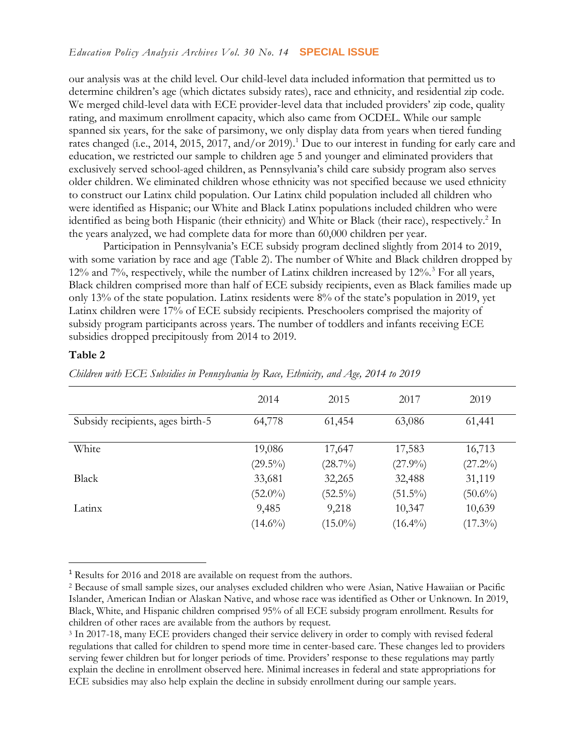our analysis was at the child level. Our child-level data included information that permitted us to determine children's age (which dictates subsidy rates), race and ethnicity, and residential zip code. We merged child-level data with ECE provider-level data that included providers' zip code, quality rating, and maximum enrollment capacity, which also came from OCDEL. While our sample spanned six years, for the sake of parsimony, we only display data from years when tiered funding rates changed (i.e., 2014, 2015, 2017, and/or 2019).<sup>1</sup> Due to our interest in funding for early care and education, we restricted our sample to children age 5 and younger and eliminated providers that exclusively served school-aged children, as Pennsylvania's child care subsidy program also serves older children. We eliminated children whose ethnicity was not specified because we used ethnicity to construct our Latinx child population. Our Latinx child population included all children who were identified as Hispanic; our White and Black Latinx populations included children who were identified as being both Hispanic (their ethnicity) and White or Black (their race), respectively.<sup>2</sup> In the years analyzed, we had complete data for more than 60,000 children per year.

Participation in Pennsylvania's ECE subsidy program declined slightly from 2014 to 2019, with some variation by race and age (Table 2). The number of White and Black children dropped by 12% and 7%, respectively, while the number of Latinx children increased by 12%.<sup>3</sup> For all years, Black children comprised more than half of ECE subsidy recipients, even as Black families made up only 13% of the state population. Latinx residents were 8% of the state's population in 2019, yet Latinx children were 17% of ECE subsidy recipients. Preschoolers comprised the majority of subsidy program participants across years. The number of toddlers and infants receiving ECE subsidies dropped precipitously from 2014 to 2019.

## **Table 2**

 $\overline{a}$ 

|                                  | 2014       | 2015       | 2017       | 2019       |
|----------------------------------|------------|------------|------------|------------|
| Subsidy recipients, ages birth-5 | 64,778     | 61,454     | 63,086     | 61,441     |
| White                            | 19,086     | 17,647     | 17,583     | 16,713     |
|                                  | $(29.5\%)$ | $(28.7\%)$ | $(27.9\%)$ | $(27.2\%)$ |
| Black                            | 33,681     | 32,265     | 32,488     | 31,119     |
|                                  | $(52.0\%)$ | $(52.5\%)$ | $(51.5\%)$ | $(50.6\%)$ |
| Latinx                           | 9,485      | 9,218      | 10,347     | 10,639     |
|                                  | $(14.6\%)$ | $(15.0\%)$ | $(16.4\%)$ | $(17.3\%)$ |

*Children with ECE Subsidies in Pennsylvania by Race, Ethnicity, and Age, 2014 to 2019*

<sup>1</sup> Results for 2016 and 2018 are available on request from the authors.

<sup>2</sup> Because of small sample sizes, our analyses excluded children who were Asian, Native Hawaiian or Pacific Islander, American Indian or Alaskan Native, and whose race was identified as Other or Unknown. In 2019, Black, White, and Hispanic children comprised 95% of all ECE subsidy program enrollment. Results for children of other races are available from the authors by request.

<sup>3</sup> In 2017-18, many ECE providers changed their service delivery in order to comply with revised federal regulations that called for children to spend more time in center-based care. These changes led to providers serving fewer children but for longer periods of time. Providers' response to these regulations may partly explain the decline in enrollment observed here. Minimal increases in federal and state appropriations for ECE subsidies may also help explain the decline in subsidy enrollment during our sample years.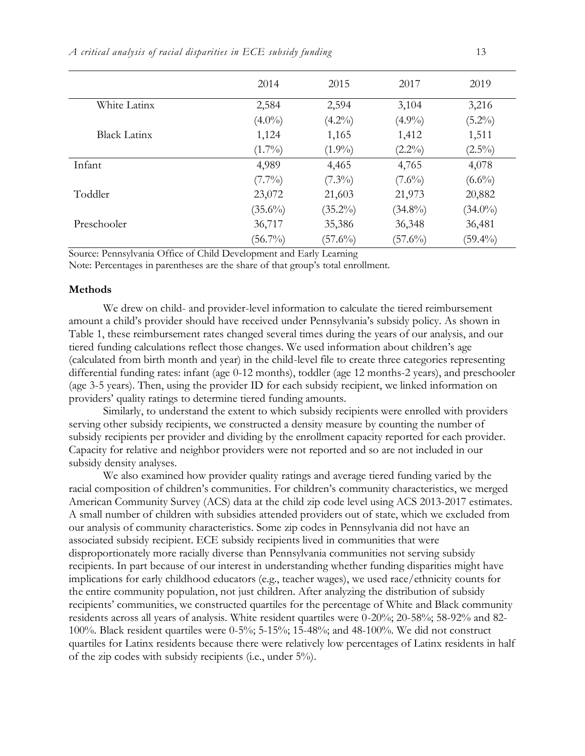|                     | 2014       | 2015       | 2017       | 2019       |
|---------------------|------------|------------|------------|------------|
| White Latinx        | 2,584      | 2,594      | 3,104      | 3,216      |
|                     | $(4.0\%)$  | $(4.2\%)$  | $(4.9\%)$  | $(5.2\%)$  |
| <b>Black Latinx</b> | 1,124      | 1,165      | 1,412      | 1,511      |
|                     | $(1.7\%)$  | $(1.9\%)$  | $(2.2\%)$  | $(2.5\%)$  |
| Infant              | 4,989      | 4,465      | 4,765      | 4,078      |
|                     | $(7.7\%)$  | $(7.3\%)$  | $(7.6\%)$  | $(6.6\%)$  |
| Toddler             | 23,072     | 21,603     | 21,973     | 20,882     |
|                     | $(35.6\%)$ | $(35.2\%)$ | $(34.8\%)$ | $(34.0\%)$ |
| Preschooler         | 36,717     | 35,386     | 36,348     | 36,481     |
|                     | $(56.7\%)$ | $(57.6\%)$ | $(57.6\%)$ | $(59.4\%)$ |
|                     |            |            |            |            |

Source: Pennsylvania Office of Child Development and Early Learning

Note: Percentages in parentheses are the share of that group's total enrollment.

#### **Methods**

We drew on child- and provider-level information to calculate the tiered reimbursement amount a child's provider should have received under Pennsylvania's subsidy policy. As shown in Table 1, these reimbursement rates changed several times during the years of our analysis, and our tiered funding calculations reflect those changes. We used information about children's age (calculated from birth month and year) in the child-level file to create three categories representing differential funding rates: infant (age 0-12 months), toddler (age 12 months-2 years), and preschooler (age 3-5 years). Then, using the provider ID for each subsidy recipient, we linked information on providers' quality ratings to determine tiered funding amounts.

Similarly, to understand the extent to which subsidy recipients were enrolled with providers serving other subsidy recipients, we constructed a density measure by counting the number of subsidy recipients per provider and dividing by the enrollment capacity reported for each provider. Capacity for relative and neighbor providers were not reported and so are not included in our subsidy density analyses.

We also examined how provider quality ratings and average tiered funding varied by the racial composition of children's communities. For children's community characteristics, we merged American Community Survey (ACS) data at the child zip code level using ACS 2013-2017 estimates. A small number of children with subsidies attended providers out of state, which we excluded from our analysis of community characteristics. Some zip codes in Pennsylvania did not have an associated subsidy recipient. ECE subsidy recipients lived in communities that were disproportionately more racially diverse than Pennsylvania communities not serving subsidy recipients. In part because of our interest in understanding whether funding disparities might have implications for early childhood educators (e.g., teacher wages), we used race/ethnicity counts for the entire community population, not just children. After analyzing the distribution of subsidy recipients' communities, we constructed quartiles for the percentage of White and Black community residents across all years of analysis. White resident quartiles were 0-20%; 20-58%; 58-92% and 82- 100%. Black resident quartiles were 0-5%; 5-15%; 15-48%; and 48-100%. We did not construct quartiles for Latinx residents because there were relatively low percentages of Latinx residents in half of the zip codes with subsidy recipients (i.e., under 5%).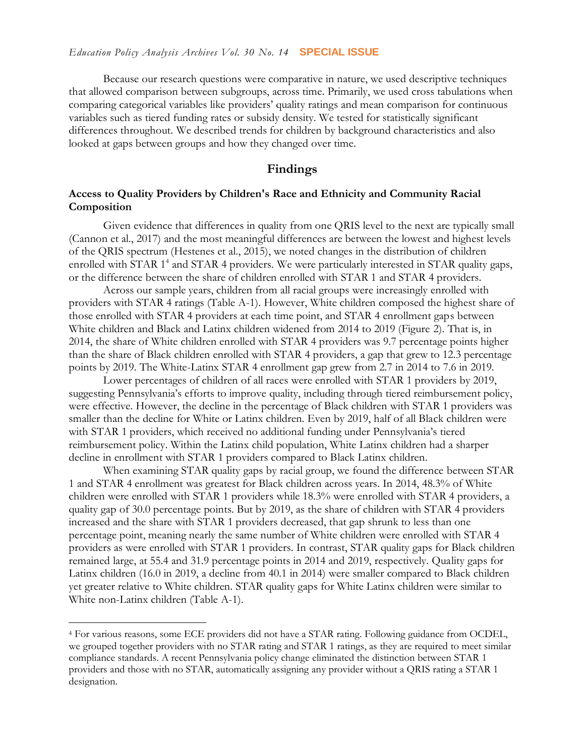Because our research questions were comparative in nature, we used descriptive techniques that allowed comparison between subgroups, across time. Primarily, we used cross tabulations when comparing categorical variables like providers' quality ratings and mean comparison for continuous variables such as tiered funding rates or subsidy density. We tested for statistically significant differences throughout. We described trends for children by background characteristics and also looked at gaps between groups and how they changed over time.

## **Findings**

## **Access to Quality Providers by Children's Race and Ethnicity and Community Racial Composition**

Given evidence that differences in quality from one QRIS level to the next are typically small (Cannon et al., 2017) and the most meaningful differences are between the lowest and highest levels of the QRIS spectrum (Hestenes et al., 2015), we noted changes in the distribution of children enrolled with STAR 1<sup>4</sup> and STAR 4 providers. We were particularly interested in STAR quality gaps, or the difference between the share of children enrolled with STAR 1 and STAR 4 providers.

Across our sample years, children from all racial groups were increasingly enrolled with providers with STAR 4 ratings (Table A-1). However, White children composed the highest share of those enrolled with STAR 4 providers at each time point, and STAR 4 enrollment gaps between White children and Black and Latinx children widened from 2014 to 2019 (Figure 2). That is, in 2014, the share of White children enrolled with STAR 4 providers was 9.7 percentage points higher than the share of Black children enrolled with STAR 4 providers, a gap that grew to 12.3 percentage points by 2019. The White-Latinx STAR 4 enrollment gap grew from 2.7 in 2014 to 7.6 in 2019.

Lower percentages of children of all races were enrolled with STAR 1 providers by 2019, suggesting Pennsylvania's efforts to improve quality, including through tiered reimbursement policy, were effective. However, the decline in the percentage of Black children with STAR 1 providers was smaller than the decline for White or Latinx children. Even by 2019, half of all Black children were with STAR 1 providers, which received no additional funding under Pennsylvania's tiered reimbursement policy. Within the Latinx child population, White Latinx children had a sharper decline in enrollment with STAR 1 providers compared to Black Latinx children.

When examining STAR quality gaps by racial group, we found the difference between STAR 1 and STAR 4 enrollment was greatest for Black children across years. In 2014, 48.3% of White children were enrolled with STAR 1 providers while 18.3% were enrolled with STAR 4 providers, a quality gap of 30.0 percentage points. But by 2019, as the share of children with STAR 4 providers increased and the share with STAR 1 providers decreased, that gap shrunk to less than one percentage point, meaning nearly the same number of White children were enrolled with STAR 4 providers as were enrolled with STAR 1 providers. In contrast, STAR quality gaps for Black children remained large, at 55.4 and 31.9 percentage points in 2014 and 2019, respectively. Quality gaps for Latinx children (16.0 in 2019, a decline from 40.1 in 2014) were smaller compared to Black children yet greater relative to White children. STAR quality gaps for White Latinx children were similar to White non-Latinx children (Table A-1).

 $\overline{a}$ 

<sup>4</sup> For various reasons, some ECE providers did not have a STAR rating. Following guidance from OCDEL, we grouped together providers with no STAR rating and STAR 1 ratings, as they are required to meet similar compliance standards. A recent Pennsylvania policy change eliminated the distinction between STAR 1 providers and those with no STAR, automatically assigning any provider without a QRIS rating a STAR 1 designation.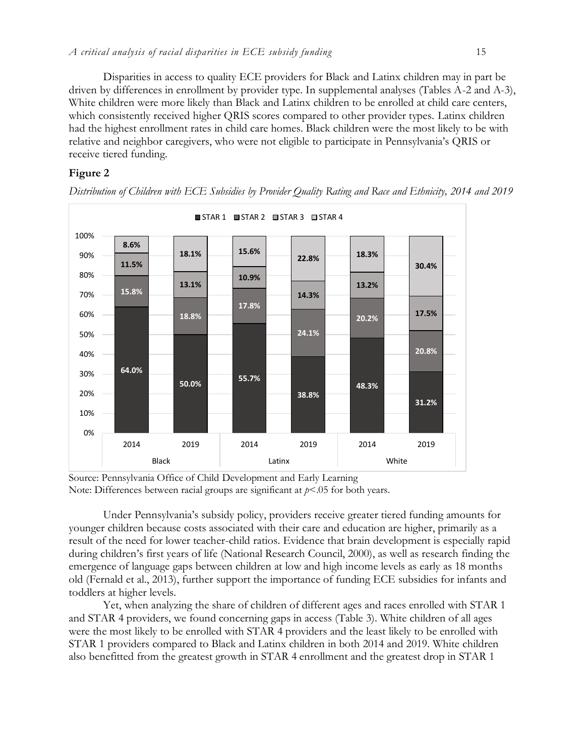Disparities in access to quality ECE providers for Black and Latinx children may in part be driven by differences in enrollment by provider type. In supplemental analyses (Tables A-2 and A-3), White children were more likely than Black and Latinx children to be enrolled at child care centers, which consistently received higher QRIS scores compared to other provider types. Latinx children had the highest enrollment rates in child care homes. Black children were the most likely to be with relative and neighbor caregivers, who were not eligible to participate in Pennsylvania's QRIS or receive tiered funding.

## **Figure 2**



*Distribution of Children with ECE Subsidies by Provider Quality Rating and Race and Ethnicity, 2014 and 2019*

Source: Pennsylvania Office of Child Development and Early Learning Note: Differences between racial groups are significant at  $p<05$  for both years.

Under Pennsylvania's subsidy policy, providers receive greater tiered funding amounts for younger children because costs associated with their care and education are higher, primarily as a result of the need for lower teacher-child ratios. Evidence that brain development is especially rapid during children's first years of life (National Research Council, 2000), as well as research finding the emergence of language gaps between children at low and high income levels as early as 18 months old (Fernald et al., 2013), further support the importance of funding ECE subsidies for infants and toddlers at higher levels.

Yet, when analyzing the share of children of different ages and races enrolled with STAR 1 and STAR 4 providers, we found concerning gaps in access (Table 3). White children of all ages were the most likely to be enrolled with STAR 4 providers and the least likely to be enrolled with STAR 1 providers compared to Black and Latinx children in both 2014 and 2019. White children also benefitted from the greatest growth in STAR 4 enrollment and the greatest drop in STAR 1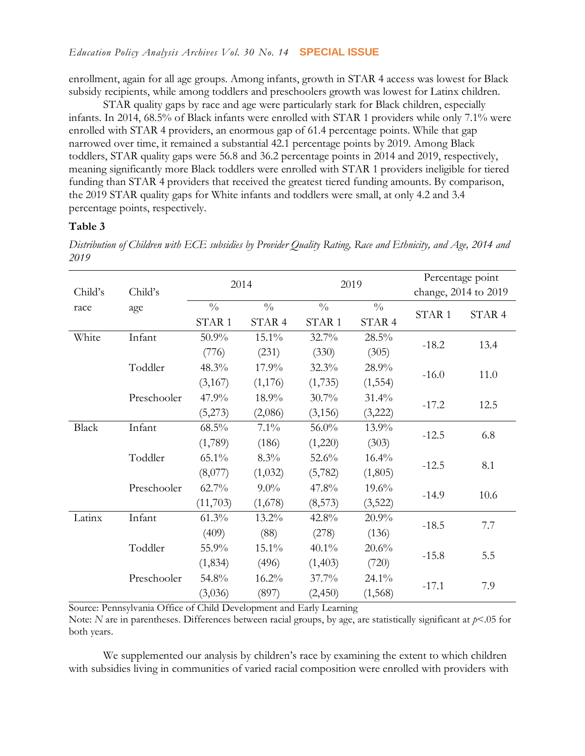enrollment, again for all age groups. Among infants, growth in STAR 4 access was lowest for Black subsidy recipients, while among toddlers and preschoolers growth was lowest for Latinx children.

STAR quality gaps by race and age were particularly stark for Black children, especially infants. In 2014, 68.5% of Black infants were enrolled with STAR 1 providers while only 7.1% were enrolled with STAR 4 providers, an enormous gap of 61.4 percentage points. While that gap narrowed over time, it remained a substantial 42.1 percentage points by 2019. Among Black toddlers, STAR quality gaps were 56.8 and 36.2 percentage points in 2014 and 2019, respectively, meaning significantly more Black toddlers were enrolled with STAR 1 providers ineligible for tiered funding than STAR 4 providers that received the greatest tiered funding amounts. By comparison, the 2019 STAR quality gaps for White infants and toddlers were small, at only 4.2 and 3.4 percentage points, respectively.

#### **Table 3**

*Distribution of Children with ECE subsidies by Provider Quality Rating, Race and Ethnicity, and Age, 2014 and 2019*

|              |             | 2014              |               |                   | 2019          | Percentage point  |                      |  |
|--------------|-------------|-------------------|---------------|-------------------|---------------|-------------------|----------------------|--|
| Child's      | Child's     |                   |               |                   |               |                   | change, 2014 to 2019 |  |
| race         | age         | $\frac{0}{0}$     | $\frac{0}{0}$ | $\frac{0}{0}$     | $\frac{0}{0}$ | STAR <sub>1</sub> | STAR 4               |  |
|              |             | STAR <sub>1</sub> | STAR 4        | STAR <sub>1</sub> | STAR 4        |                   |                      |  |
| White        | Infant      | 50.9%             | 15.1%         | 32.7%             | 28.5%         | $-18.2$           | 13.4                 |  |
|              |             | (776)             | (231)         | (330)             | (305)         |                   |                      |  |
|              | Toddler     | 48.3%             | 17.9%         | 32.3%             | 28.9%         | $-16.0$           | 11.0                 |  |
|              |             | (3,167)           | (1,176)       | (1,735)           | (1, 554)      |                   |                      |  |
|              | Preschooler | 47.9%             | 18.9%         | $30.7\%$          | 31.4%         |                   | 12.5                 |  |
|              |             | (5,273)           | (2,086)       | (3, 156)          | (3,222)       | $-17.2$           |                      |  |
| <b>Black</b> | Infant      | $68.5\%$          | $7.1\%$       | 56.0%             | 13.9%         | $-12.5$           | 6.8                  |  |
|              |             | (1,789)           | (186)         | (1,220)           | (303)         |                   |                      |  |
|              | Toddler     | 65.1%             | $8.3\%$       | 52.6%             | 16.4%         | $-12.5$           |                      |  |
|              |             | (8,077)           | (1,032)       | (5,782)           | (1,805)       |                   | 8.1                  |  |
|              | Preschooler | 62.7%             | $9.0\%$       | 47.8%             | 19.6%         |                   |                      |  |
|              |             | (11,703)          | (1,678)       | (8,573)           | (3,522)       | $-14.9$           | 10.6                 |  |
| Latinx       | Infant      | 61.3%             | 13.2%         | 42.8%             | 20.9%         | $-18.5$           | 7.7                  |  |
|              |             | (409)             | (88)          | (278)             | (136)         |                   |                      |  |
|              | Toddler     | 55.9%             | 15.1%         | $40.1\%$          | 20.6%         |                   |                      |  |
|              |             | (1, 834)          | (496)         | (1,403)           | (720)         | $-15.8$           | 5.5                  |  |
|              | Preschooler | 54.8%             | 16.2%         | 37.7%             | 24.1%         |                   |                      |  |
|              |             | (3,036)           | (897)         | (2,450)           | (1,568)       | $-17.1$           | 7.9                  |  |

Source: Pennsylvania Office of Child Development and Early Learning

Note: *N* are in parentheses. Differences between racial groups, by age, are statistically significant at  $p$ <.05 for both years.

We supplemented our analysis by children's race by examining the extent to which children with subsidies living in communities of varied racial composition were enrolled with providers with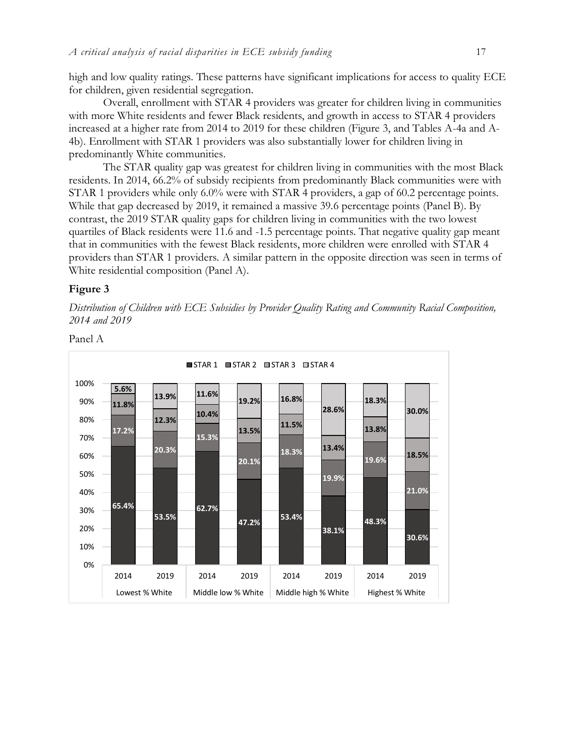high and low quality ratings. These patterns have significant implications for access to quality ECE for children, given residential segregation.

Overall, enrollment with STAR 4 providers was greater for children living in communities with more White residents and fewer Black residents, and growth in access to STAR 4 providers increased at a higher rate from 2014 to 2019 for these children (Figure 3, and Tables A-4a and A-4b). Enrollment with STAR 1 providers was also substantially lower for children living in predominantly White communities.

The STAR quality gap was greatest for children living in communities with the most Black residents. In 2014, 66.2% of subsidy recipients from predominantly Black communities were with STAR 1 providers while only 6.0% were with STAR 4 providers, a gap of 60.2 percentage points. While that gap decreased by 2019, it remained a massive 39.6 percentage points (Panel B). By contrast, the 2019 STAR quality gaps for children living in communities with the two lowest quartiles of Black residents were 11.6 and -1.5 percentage points. That negative quality gap meant that in communities with the fewest Black residents, more children were enrolled with STAR 4 providers than STAR 1 providers. A similar pattern in the opposite direction was seen in terms of White residential composition (Panel A).

#### **Figure 3**

*Distribution of Children with ECE Subsidies by Provider Quality Rating and Community Racial Composition, 2014 and 2019*



Panel A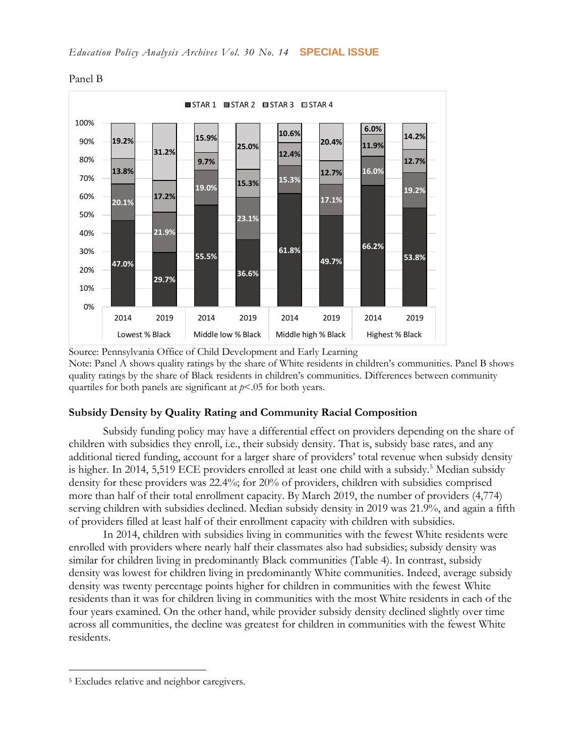

Panel B

Source: Pennsylvania Office of Child Development and Early Learning Note: Panel A shows quality ratings by the share of White residents in children's communities. Panel B shows quality ratings by the share of Black residents in children's communities. Differences between community quartiles for both panels are significant at *p*<.05 for both years.

#### **Subsidy Density by Quality Rating and Community Racial Composition**

Subsidy funding policy may have a differential effect on providers depending on the share of children with subsidies they enroll, i.e., their subsidy density. That is, subsidy base rates, and any additional tiered funding, account for a larger share of providers' total revenue when subsidy density is higher. In 2014, 5,519 ECE providers enrolled at least one child with a subsidy.<sup>5</sup> Median subsidy density for these providers was 22.4%; for 20% of providers, children with subsidies comprised more than half of their total enrollment capacity. By March 2019, the number of providers (4,774) serving children with subsidies declined. Median subsidy density in 2019 was 21.9%, and again a fifth of providers filled at least half of their enrollment capacity with children with subsidies.

In 2014, children with subsidies living in communities with the fewest White residents were enrolled with providers where nearly half their classmates also had subsidies; subsidy density was similar for children living in predominantly Black communities (Table 4). In contrast, subsidy density was lowest for children living in predominantly White communities. Indeed, average subsidy density was twenty percentage points higher for children in communities with the fewest White residents than it was for children living in communities with the most White residents in each of the four years examined. On the other hand, while provider subsidy density declined slightly over time across all communities, the decline was greatest for children in communities with the fewest White residents.

 $\overline{a}$ 

<sup>5</sup> Excludes relative and neighbor caregivers.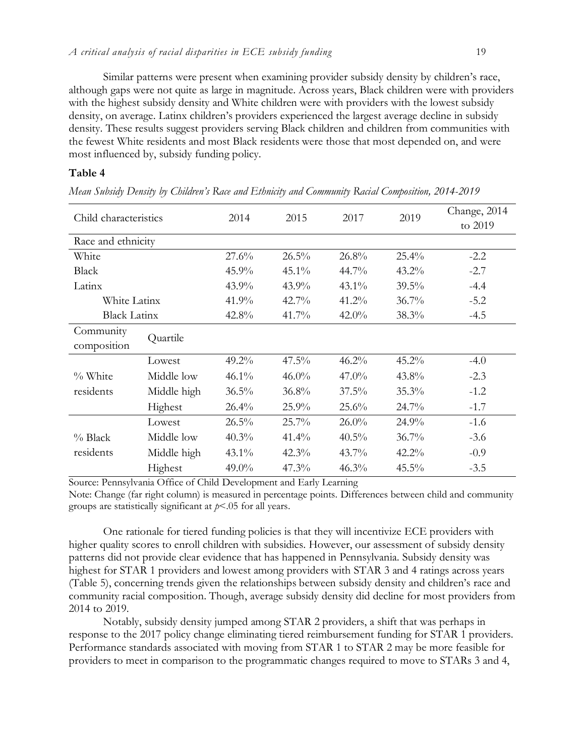Similar patterns were present when examining provider subsidy density by children's race, although gaps were not quite as large in magnitude. Across years, Black children were with providers with the highest subsidy density and White children were with providers with the lowest subsidy density, on average. Latinx children's providers experienced the largest average decline in subsidy density. These results suggest providers serving Black children and children from communities with the fewest White residents and most Black residents were those that most depended on, and were most influenced by, subsidy funding policy.

## **Table 4**

| Child characteristics    |             | 2014     | 2015     | 2017     | 2019     | Change, 2014<br>to 2019 |
|--------------------------|-------------|----------|----------|----------|----------|-------------------------|
| Race and ethnicity       |             |          |          |          |          |                         |
| White                    |             | 27.6%    | 26.5%    | 26.8%    | $25.4\%$ | $-2.2$                  |
| <b>Black</b>             |             | $45.9\%$ | $45.1\%$ | 44.7%    | $43.2\%$ | $-2.7$                  |
| Latinx                   |             | 43.9%    | 43.9%    | $43.1\%$ | 39.5%    | $-4.4$                  |
| White Latinx             |             | 41.9%    | $42.7\%$ | $41.2\%$ | $36.7\%$ | $-5.2$                  |
| <b>Black Latinx</b>      |             | 42.8%    | 41.7%    | $42.0\%$ | 38.3%    | $-4.5$                  |
| Community<br>composition | Quartile    |          |          |          |          |                         |
|                          | Lowest      | 49.2%    | 47.5%    | 46.2%    | 45.2%    | $-4.0$                  |
| % White                  | Middle low  | $46.1\%$ | $46.0\%$ | $47.0\%$ | 43.8%    | $-2.3$                  |
| residents                | Middle high | 36.5%    | 36.8%    | $37.5\%$ | 35.3%    | $-1.2$                  |
|                          | Highest     | $26.4\%$ | $25.9\%$ | 25.6%    | $24.7\%$ | $-1.7$                  |
|                          | Lowest      | $26.5\%$ | $25.7\%$ | $26.0\%$ | $24.9\%$ | $-1.6$                  |
| $%$ Black                | Middle low  | 40.3%    | $41.4\%$ | $40.5\%$ | 36.7%    | $-3.6$                  |
| residents                | Middle high | $43.1\%$ | $42.3\%$ | $43.7\%$ | $42.2\%$ | $-0.9$                  |
|                          | Highest     | 49.0%    | 47.3%    | 46.3%    | 45.5%    | $-3.5$                  |

*Mean Subsidy Density by Children's Race and Ethnicity and Community Racial Composition, 2014-2019*

Source: Pennsylvania Office of Child Development and Early Learning

Note: Change (far right column) is measured in percentage points. Differences between child and community groups are statistically significant at *p*<.05 for all years.

One rationale for tiered funding policies is that they will incentivize ECE providers with higher quality scores to enroll children with subsidies. However, our assessment of subsidy density patterns did not provide clear evidence that has happened in Pennsylvania. Subsidy density was highest for STAR 1 providers and lowest among providers with STAR 3 and 4 ratings across years (Table 5), concerning trends given the relationships between subsidy density and children's race and community racial composition. Though, average subsidy density did decline for most providers from 2014 to 2019.

Notably, subsidy density jumped among STAR 2 providers, a shift that was perhaps in response to the 2017 policy change eliminating tiered reimbursement funding for STAR 1 providers. Performance standards associated with moving from STAR 1 to STAR 2 may be more feasible for providers to meet in comparison to the programmatic changes required to move to STARs 3 and 4,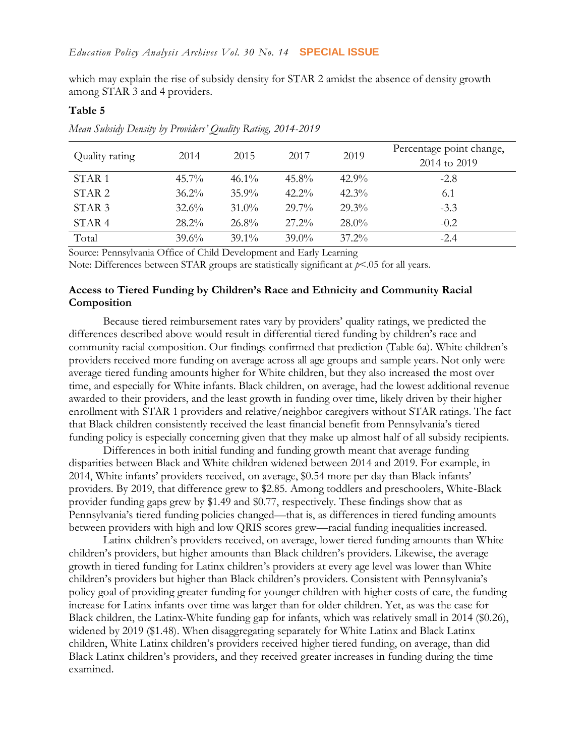which may explain the rise of subsidy density for STAR 2 amidst the absence of density growth among STAR 3 and 4 providers.

#### **Table 5**

| Quality rating    | 2014     | 2015     | 2017     | 2019     | Percentage point change,<br>2014 to 2019 |
|-------------------|----------|----------|----------|----------|------------------------------------------|
| STAR <sub>1</sub> | $45.7\%$ | $46.1\%$ | $45.8\%$ | $42.9\%$ | $-2.8$                                   |
| STAR <sub>2</sub> | $36.2\%$ | $35.9\%$ | $42.2\%$ | $42.3\%$ | 6.1                                      |
| STAR <sub>3</sub> | 32.6%    | $31.0\%$ | 29.7%    | $29.3\%$ | $-3.3$                                   |
| STAR <sub>4</sub> | $28.2\%$ | $26.8\%$ | $27.2\%$ | $28.0\%$ | $-0.2$                                   |
| Total             | $39.6\%$ | $39.1\%$ | $39.0\%$ | $37.2\%$ | $-2.4$                                   |

*Mean Subsidy Density by Providers' Quality Rating, 2014-2019*

Source: Pennsylvania Office of Child Development and Early Learning

Note: Differences between STAR groups are statistically significant at  $p < 05$  for all years.

## **Access to Tiered Funding by Children's Race and Ethnicity and Community Racial Composition**

Because tiered reimbursement rates vary by providers' quality ratings, we predicted the differences described above would result in differential tiered funding by children's race and community racial composition. Our findings confirmed that prediction (Table 6a). White children's providers received more funding on average across all age groups and sample years. Not only were average tiered funding amounts higher for White children, but they also increased the most over time, and especially for White infants. Black children, on average, had the lowest additional revenue awarded to their providers, and the least growth in funding over time, likely driven by their higher enrollment with STAR 1 providers and relative/neighbor caregivers without STAR ratings. The fact that Black children consistently received the least financial benefit from Pennsylvania's tiered funding policy is especially concerning given that they make up almost half of all subsidy recipients.

Differences in both initial funding and funding growth meant that average funding disparities between Black and White children widened between 2014 and 2019. For example, in 2014, White infants' providers received, on average, \$0.54 more per day than Black infants' providers. By 2019, that difference grew to \$2.85. Among toddlers and preschoolers, White-Black provider funding gaps grew by \$1.49 and \$0.77, respectively. These findings show that as Pennsylvania's tiered funding policies changed—that is, as differences in tiered funding amounts between providers with high and low QRIS scores grew—racial funding inequalities increased.

Latinx children's providers received, on average, lower tiered funding amounts than White children's providers, but higher amounts than Black children's providers. Likewise, the average growth in tiered funding for Latinx children's providers at every age level was lower than White children's providers but higher than Black children's providers. Consistent with Pennsylvania's policy goal of providing greater funding for younger children with higher costs of care, the funding increase for Latinx infants over time was larger than for older children. Yet, as was the case for Black children, the Latinx-White funding gap for infants, which was relatively small in 2014 (\$0.26), widened by 2019 (\$1.48). When disaggregating separately for White Latinx and Black Latinx children, White Latinx children's providers received higher tiered funding, on average, than did Black Latinx children's providers, and they received greater increases in funding during the time examined.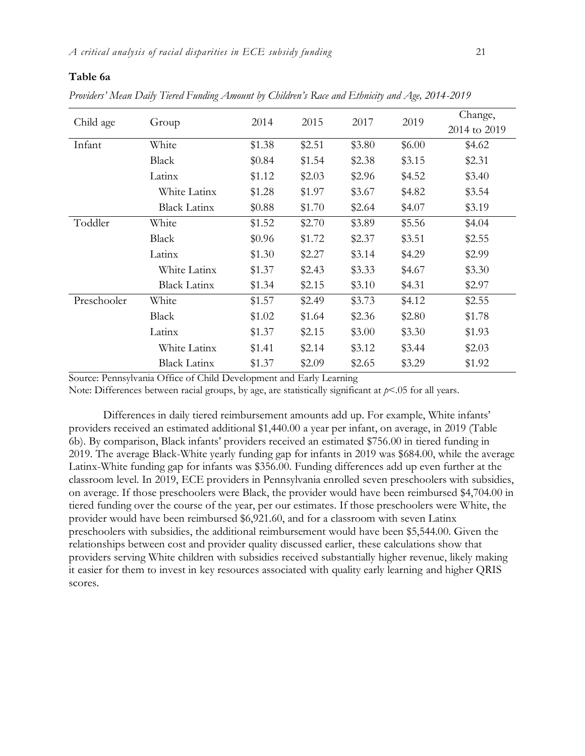#### **Table 6a**

*Providers' Mean Daily Tiered Funding Amount by Children's Race and Ethnicity and Age, 2014-2019*

|             |                     | 2014   |        | 2017   |        | Change,      |
|-------------|---------------------|--------|--------|--------|--------|--------------|
| Child age   | Group               |        | 2015   |        | 2019   | 2014 to 2019 |
| Infant      | White               | \$1.38 | \$2.51 | \$3.80 | \$6.00 | \$4.62       |
|             | Black               | \$0.84 | \$1.54 | \$2.38 | \$3.15 | \$2.31       |
|             | Latinx              | \$1.12 | \$2.03 | \$2.96 | \$4.52 | \$3.40       |
|             | White Latinx        | \$1.28 | \$1.97 | \$3.67 | \$4.82 | \$3.54       |
|             | <b>Black Latinx</b> | \$0.88 | \$1.70 | \$2.64 | \$4.07 | \$3.19       |
| Toddler     | White               | \$1.52 | \$2.70 | \$3.89 | \$5.56 | \$4.04       |
|             | Black               | \$0.96 | \$1.72 | \$2.37 | \$3.51 | \$2.55       |
|             | Latinx              | \$1.30 | \$2.27 | \$3.14 | \$4.29 | \$2.99       |
|             | White Latinx        | \$1.37 | \$2.43 | \$3.33 | \$4.67 | \$3.30       |
|             | <b>Black Latinx</b> | \$1.34 | \$2.15 | \$3.10 | \$4.31 | \$2.97       |
| Preschooler | White               | \$1.57 | \$2.49 | \$3.73 | \$4.12 | \$2.55       |
|             | Black               | \$1.02 | \$1.64 | \$2.36 | \$2.80 | \$1.78       |
|             | Latinx              | \$1.37 | \$2.15 | \$3.00 | \$3.30 | \$1.93       |
|             | White Latinx        | \$1.41 | \$2.14 | \$3.12 | \$3.44 | \$2.03       |
|             | <b>Black Latinx</b> | \$1.37 | \$2.09 | \$2.65 | \$3.29 | \$1.92       |

Source: Pennsylvania Office of Child Development and Early Learning

Note: Differences between racial groups, by age, are statistically significant at  $p<05$  for all years.

Differences in daily tiered reimbursement amounts add up. For example, White infants' providers received an estimated additional \$1,440.00 a year per infant, on average, in 2019 (Table 6b). By comparison, Black infants' providers received an estimated \$756.00 in tiered funding in 2019. The average Black-White yearly funding gap for infants in 2019 was \$684.00, while the average Latinx-White funding gap for infants was \$356.00. Funding differences add up even further at the classroom level. In 2019, ECE providers in Pennsylvania enrolled seven preschoolers with subsidies, on average. If those preschoolers were Black, the provider would have been reimbursed \$4,704.00 in tiered funding over the course of the year, per our estimates. If those preschoolers were White, the provider would have been reimbursed \$6,921.60, and for a classroom with seven Latinx preschoolers with subsidies, the additional reimbursement would have been \$5,544.00. Given the relationships between cost and provider quality discussed earlier, these calculations show that providers serving White children with subsidies received substantially higher revenue, likely making it easier for them to invest in key resources associated with quality early learning and higher QRIS scores.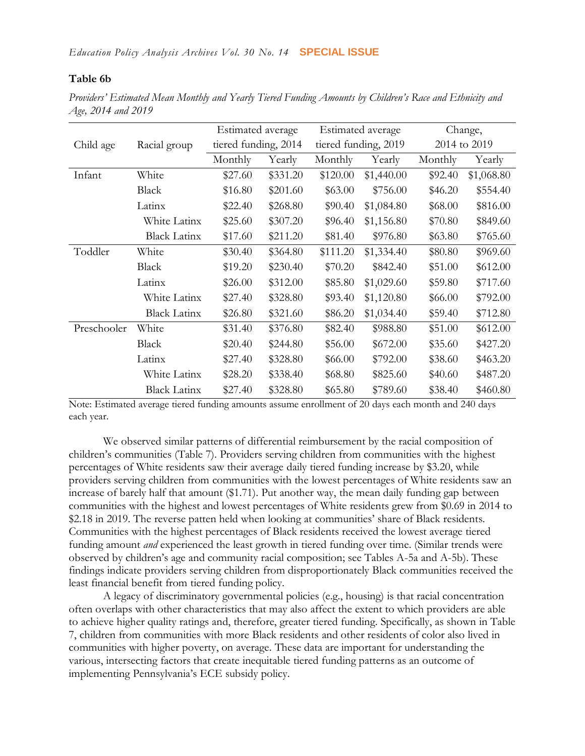## **Table 6b**

*Providers' Estimated Mean Monthly and Yearly Tiered Funding Amounts by Children's Race and Ethnicity and Age, 2014 and 2019*

|             |                     | Estimated average    |          |          | Estimated average    |         | Change,      |
|-------------|---------------------|----------------------|----------|----------|----------------------|---------|--------------|
| Child age   | Racial group        | tiered funding, 2014 |          |          | tiered funding, 2019 |         | 2014 to 2019 |
|             |                     | Monthly              | Yearly   | Monthly  | Yearly               | Monthly | Yearly       |
| Infant      | White               | \$27.60              | \$331.20 | \$120.00 | \$1,440.00           | \$92.40 | \$1,068.80   |
|             | <b>Black</b>        | \$16.80              | \$201.60 | \$63.00  | \$756.00             | \$46.20 | \$554.40     |
|             | Latinx              | \$22.40              | \$268.80 | \$90.40  | \$1,084.80           | \$68.00 | \$816.00     |
|             | White Latinx        | \$25.60              | \$307.20 | \$96.40  | \$1,156.80           | \$70.80 | \$849.60     |
|             | <b>Black Latinx</b> | \$17.60              | \$211.20 | \$81.40  | \$976.80             | \$63.80 | \$765.60     |
| Toddler     | White               | \$30.40              | \$364.80 | \$111.20 | \$1,334.40           | \$80.80 | \$969.60     |
|             | <b>Black</b>        | \$19.20              | \$230.40 | \$70.20  | \$842.40             | \$51.00 | \$612.00     |
|             | Latinx              | \$26.00              | \$312.00 | \$85.80  | \$1,029.60           | \$59.80 | \$717.60     |
|             | White Latinx        | \$27.40              | \$328.80 | \$93.40  | \$1,120.80           | \$66.00 | \$792.00     |
|             | <b>Black Latinx</b> | \$26.80              | \$321.60 | \$86.20  | \$1,034.40           | \$59.40 | \$712.80     |
| Preschooler | White               | \$31.40              | \$376.80 | \$82.40  | \$988.80             | \$51.00 | \$612.00     |
|             | <b>Black</b>        | \$20.40              | \$244.80 | \$56.00  | \$672.00             | \$35.60 | \$427.20     |
|             | Latinx              | \$27.40              | \$328.80 | \$66.00  | \$792.00             | \$38.60 | \$463.20     |
|             | White Latinx        | \$28.20              | \$338.40 | \$68.80  | \$825.60             | \$40.60 | \$487.20     |
|             | <b>Black Latinx</b> | \$27.40              | \$328.80 | \$65.80  | \$789.60             | \$38.40 | \$460.80     |

Note: Estimated average tiered funding amounts assume enrollment of 20 days each month and 240 days each year.

We observed similar patterns of differential reimbursement by the racial composition of children's communities (Table 7). Providers serving children from communities with the highest percentages of White residents saw their average daily tiered funding increase by \$3.20, while providers serving children from communities with the lowest percentages of White residents saw an increase of barely half that amount (\$1.71). Put another way, the mean daily funding gap between communities with the highest and lowest percentages of White residents grew from \$0.69 in 2014 to \$2.18 in 2019. The reverse patten held when looking at communities' share of Black residents. Communities with the highest percentages of Black residents received the lowest average tiered funding amount *and* experienced the least growth in tiered funding over time. (Similar trends were observed by children's age and community racial composition; see Tables A-5a and A-5b). These findings indicate providers serving children from disproportionately Black communities received the least financial benefit from tiered funding policy.

A legacy of discriminatory governmental policies (e.g., housing) is that racial concentration often overlaps with other characteristics that may also affect the extent to which providers are able to achieve higher quality ratings and, therefore, greater tiered funding. Specifically, as shown in Table 7, children from communities with more Black residents and other residents of color also lived in communities with higher poverty, on average. These data are important for understanding the various, intersecting factors that create inequitable tiered funding patterns as an outcome of implementing Pennsylvania's ECE subsidy policy.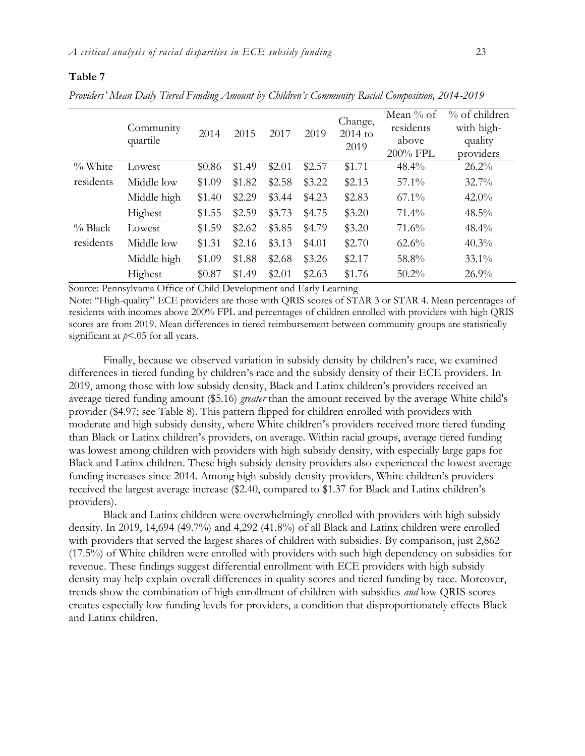#### **Table 7**

*Providers' Mean Daily Tiered Funding Amount by Children's Community Racial Composition, 2014-2019*

|           | Community<br>quartile | 2014   | 2015   | 2017   | 2019   | Change,<br>$2014$ to<br>2019 | Mean $\%$ of<br>residents<br>above<br>200% FPL | $%$ of children<br>with high-<br>quality<br>providers |
|-----------|-----------------------|--------|--------|--------|--------|------------------------------|------------------------------------------------|-------------------------------------------------------|
| $%$ White | Lowest                | \$0.86 | \$1.49 | \$2.01 | \$2.57 | \$1.71                       | 48.4%                                          | 26.2%                                                 |
| residents | Middle low            | \$1.09 | \$1.82 | \$2.58 | \$3.22 | \$2.13                       | $57.1\%$                                       | $32.7\%$                                              |
|           | Middle high           | \$1.40 | \$2.29 | \$3.44 | \$4.23 | \$2.83                       | $67.1\%$                                       | $42.0\%$                                              |
|           | Highest               | \$1.55 | \$2.59 | \$3.73 | \$4.75 | \$3.20                       | $71.4\%$                                       | $48.5\%$                                              |
| $%$ Black | Lowest                | \$1.59 | \$2.62 | \$3.85 | \$4.79 | \$3.20                       | 71.6%                                          | 48.4%                                                 |
| residents | Middle low            | \$1.31 | \$2.16 | \$3.13 | \$4.01 | \$2.70                       | $62.6\%$                                       | $40.3\%$                                              |
|           | Middle high           | \$1.09 | \$1.88 | \$2.68 | \$3.26 | \$2.17                       | 58.8%                                          | $33.1\%$                                              |
|           | Highest               | \$0.87 | \$1.49 | \$2.01 | \$2.63 | \$1.76                       | $50.2\%$                                       | 26.9%                                                 |

Source: Pennsylvania Office of Child Development and Early Learning

Note: "High-quality" ECE providers are those with QRIS scores of STAR 3 or STAR 4. Mean percentages of residents with incomes above 200% FPL and percentages of children enrolled with providers with high QRIS scores are from 2019. Mean differences in tiered reimbursement between community groups are statistically significant at  $p<0.05$  for all years.

Finally, because we observed variation in subsidy density by children's race, we examined differences in tiered funding by children's race and the subsidy density of their ECE providers. In 2019, among those with low subsidy density, Black and Latinx children's providers received an average tiered funding amount (\$5.16) *greater* than the amount received by the average White child's provider (\$4.97; see Table 8). This pattern flipped for children enrolled with providers with moderate and high subsidy density, where White children's providers received more tiered funding than Black or Latinx children's providers, on average. Within racial groups, average tiered funding was lowest among children with providers with high subsidy density, with especially large gaps for Black and Latinx children. These high subsidy density providers also experienced the lowest average funding increases since 2014. Among high subsidy density providers, White children's providers received the largest average increase (\$2.40, compared to \$1.37 for Black and Latinx children's providers).

Black and Latinx children were overwhelmingly enrolled with providers with high subsidy density. In 2019, 14,694 (49.7%) and 4,292 (41.8%) of all Black and Latinx children were enrolled with providers that served the largest shares of children with subsidies. By comparison, just 2,862 (17.5%) of White children were enrolled with providers with such high dependency on subsidies for revenue. These findings suggest differential enrollment with ECE providers with high subsidy density may help explain overall differences in quality scores and tiered funding by race. Moreover, trends show the combination of high enrollment of children with subsidies *and* low QRIS scores creates especially low funding levels for providers, a condition that disproportionately effects Black and Latinx children.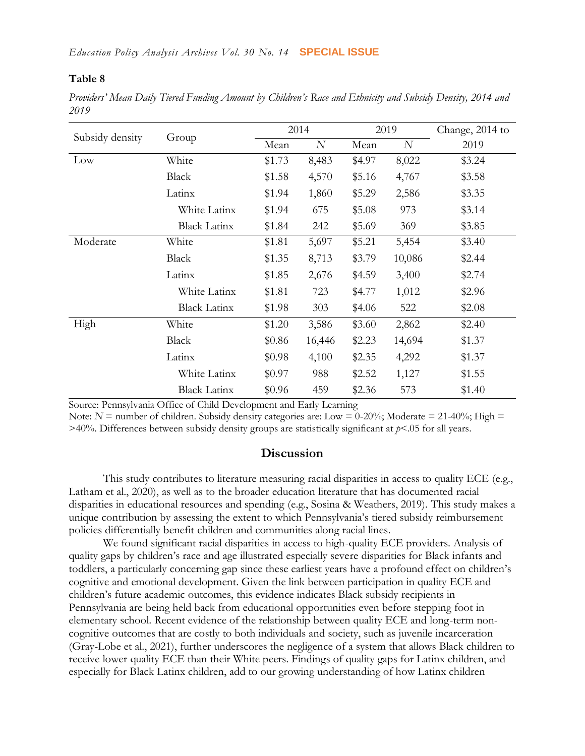#### **Table 8**

*Providers' Mean Daily Tiered Funding Amount by Children's Race and Ethnicity and Subsidy Density, 2014 and 2019*

|                 |                     |        | 2014   |        | 2019   | Change, 2014 to |
|-----------------|---------------------|--------|--------|--------|--------|-----------------|
| Subsidy density | Group               | Mean   | N      | Mean   | N      | 2019            |
| Low             | White               | \$1.73 | 8,483  | \$4.97 | 8,022  | \$3.24          |
|                 | <b>Black</b>        | \$1.58 | 4,570  | \$5.16 | 4,767  | \$3.58          |
|                 | Latinx              | \$1.94 | 1,860  | \$5.29 | 2,586  | \$3.35          |
|                 | White Latinx        | \$1.94 | 675    | \$5.08 | 973    | \$3.14          |
|                 | <b>Black Latinx</b> | \$1.84 | 242    | \$5.69 | 369    | \$3.85          |
| Moderate        | White               | \$1.81 | 5,697  | \$5.21 | 5,454  | \$3.40          |
|                 | Black               | \$1.35 | 8,713  | \$3.79 | 10,086 | \$2.44          |
|                 | Latinx              | \$1.85 | 2,676  | \$4.59 | 3,400  | \$2.74          |
|                 | White Latinx        | \$1.81 | 723    | \$4.77 | 1,012  | \$2.96          |
|                 | <b>Black Latinx</b> | \$1.98 | 303    | \$4.06 | 522    | \$2.08          |
| High            | White               | \$1.20 | 3,586  | \$3.60 | 2,862  | \$2.40          |
|                 | <b>Black</b>        | \$0.86 | 16,446 | \$2.23 | 14,694 | \$1.37          |
|                 | Latinx              | \$0.98 | 4,100  | \$2.35 | 4,292  | \$1.37          |
|                 | White Latinx        | \$0.97 | 988    | \$2.52 | 1,127  | \$1.55          |
|                 | <b>Black Latinx</b> | \$0.96 | 459    | \$2.36 | 573    | \$1.40          |

Source: Pennsylvania Office of Child Development and Early Learning

Note:  $N =$  number of children. Subsidy density categories are: Low = 0-20%; Moderate = 21-40%; High =  $>40\%$ . Differences between subsidy density groups are statistically significant at  $p<05$  for all years.

## **Discussion**

This study contributes to literature measuring racial disparities in access to quality ECE (e.g., Latham et al., 2020), as well as to the broader education literature that has documented racial disparities in educational resources and spending (e.g., Sosina & Weathers, 2019). This study makes a unique contribution by assessing the extent to which Pennsylvania's tiered subsidy reimbursement policies differentially benefit children and communities along racial lines.

We found significant racial disparities in access to high-quality ECE providers. Analysis of quality gaps by children's race and age illustrated especially severe disparities for Black infants and toddlers, a particularly concerning gap since these earliest years have a profound effect on children's cognitive and emotional development. Given the link between participation in quality ECE and children's future academic outcomes, this evidence indicates Black subsidy recipients in Pennsylvania are being held back from educational opportunities even before stepping foot in elementary school. Recent evidence of the relationship between quality ECE and long-term noncognitive outcomes that are costly to both individuals and society, such as juvenile incarceration (Gray-Lobe et al., 2021), further underscores the negligence of a system that allows Black children to receive lower quality ECE than their White peers. Findings of quality gaps for Latinx children, and especially for Black Latinx children, add to our growing understanding of how Latinx children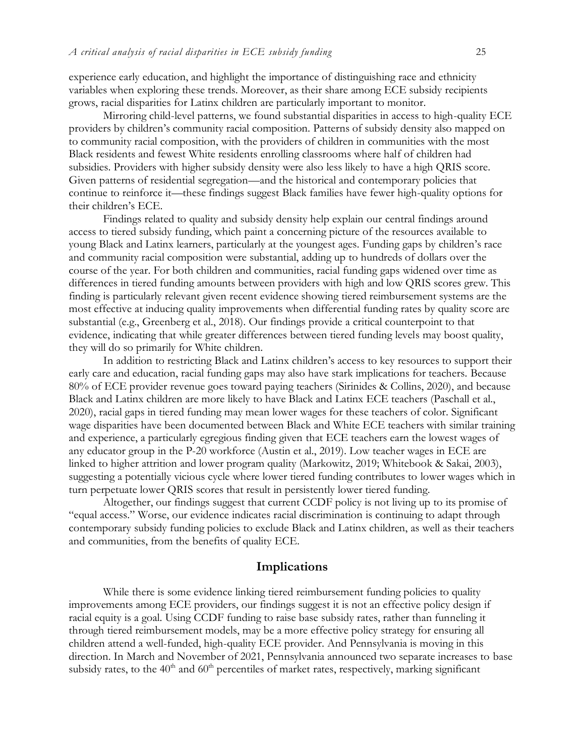experience early education, and highlight the importance of distinguishing race and ethnicity variables when exploring these trends. Moreover, as their share among ECE subsidy recipients grows, racial disparities for Latinx children are particularly important to monitor.

Mirroring child-level patterns, we found substantial disparities in access to high-quality ECE providers by children's community racial composition. Patterns of subsidy density also mapped on to community racial composition, with the providers of children in communities with the most Black residents and fewest White residents enrolling classrooms where half of children had subsidies. Providers with higher subsidy density were also less likely to have a high QRIS score. Given patterns of residential segregation—and the historical and contemporary policies that continue to reinforce it—these findings suggest Black families have fewer high-quality options for their children's ECE.

Findings related to quality and subsidy density help explain our central findings around access to tiered subsidy funding, which paint a concerning picture of the resources available to young Black and Latinx learners, particularly at the youngest ages. Funding gaps by children's race and community racial composition were substantial, adding up to hundreds of dollars over the course of the year. For both children and communities, racial funding gaps widened over time as differences in tiered funding amounts between providers with high and low QRIS scores grew. This finding is particularly relevant given recent evidence showing tiered reimbursement systems are the most effective at inducing quality improvements when differential funding rates by quality score are substantial (e.g., Greenberg et al., 2018). Our findings provide a critical counterpoint to that evidence, indicating that while greater differences between tiered funding levels may boost quality, they will do so primarily for White children.

In addition to restricting Black and Latinx children's access to key resources to support their early care and education, racial funding gaps may also have stark implications for teachers. Because 80% of ECE provider revenue goes toward paying teachers (Sirinides & Collins, 2020), and because Black and Latinx children are more likely to have Black and Latinx ECE teachers (Paschall et al., 2020), racial gaps in tiered funding may mean lower wages for these teachers of color. Significant wage disparities have been documented between Black and White ECE teachers with similar training and experience, a particularly egregious finding given that ECE teachers earn the lowest wages of any educator group in the P-20 workforce (Austin et al., 2019). Low teacher wages in ECE are linked to higher attrition and lower program quality (Markowitz, 2019; Whitebook & Sakai, 2003), suggesting a potentially vicious cycle where lower tiered funding contributes to lower wages which in turn perpetuate lower QRIS scores that result in persistently lower tiered funding.

Altogether, our findings suggest that current CCDF policy is not living up to its promise of "equal access." Worse, our evidence indicates racial discrimination is continuing to adapt through contemporary subsidy funding policies to exclude Black and Latinx children, as well as their teachers and communities, from the benefits of quality ECE.

#### **Implications**

While there is some evidence linking tiered reimbursement funding policies to quality improvements among ECE providers, our findings suggest it is not an effective policy design if racial equity is a goal. Using CCDF funding to raise base subsidy rates, rather than funneling it through tiered reimbursement models, may be a more effective policy strategy for ensuring all children attend a well-funded, high-quality ECE provider. And Pennsylvania is moving in this direction. In March and November of 2021, Pennsylvania announced two separate increases to base subsidy rates, to the  $40<sup>th</sup>$  and  $60<sup>th</sup>$  percentiles of market rates, respectively, marking significant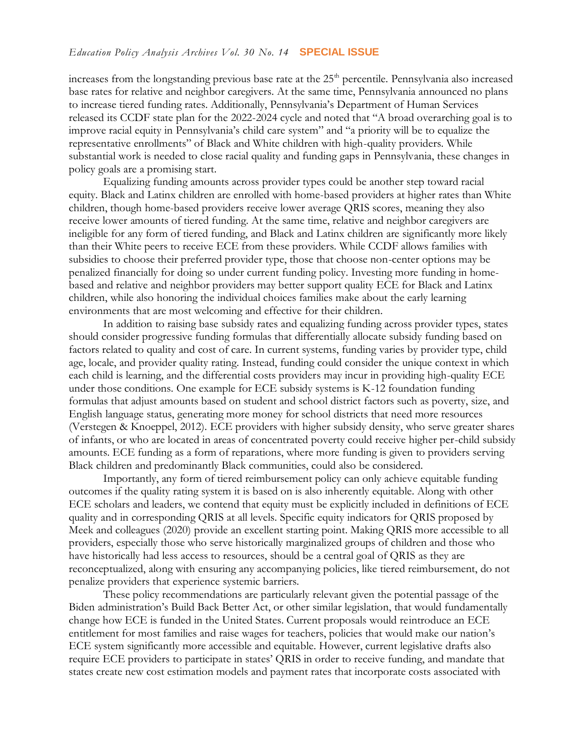increases from the longstanding previous base rate at the 25<sup>th</sup> percentile. Pennsylvania also increased base rates for relative and neighbor caregivers. At the same time, Pennsylvania announced no plans to increase tiered funding rates. Additionally, Pennsylvania's Department of Human Services released its CCDF state plan for the 2022-2024 cycle and noted that "A broad overarching goal is to improve racial equity in Pennsylvania's child care system" and "a priority will be to equalize the representative enrollments" of Black and White children with high-quality providers. While substantial work is needed to close racial quality and funding gaps in Pennsylvania, these changes in policy goals are a promising start.

Equalizing funding amounts across provider types could be another step toward racial equity. Black and Latinx children are enrolled with home-based providers at higher rates than White children, though home-based providers receive lower average QRIS scores, meaning they also receive lower amounts of tiered funding. At the same time, relative and neighbor caregivers are ineligible for any form of tiered funding, and Black and Latinx children are significantly more likely than their White peers to receive ECE from these providers. While CCDF allows families with subsidies to choose their preferred provider type, those that choose non-center options may be penalized financially for doing so under current funding policy. Investing more funding in homebased and relative and neighbor providers may better support quality ECE for Black and Latinx children, while also honoring the individual choices families make about the early learning environments that are most welcoming and effective for their children.

In addition to raising base subsidy rates and equalizing funding across provider types, states should consider progressive funding formulas that differentially allocate subsidy funding based on factors related to quality and cost of care. In current systems, funding varies by provider type, child age, locale, and provider quality rating. Instead, funding could consider the unique context in which each child is learning, and the differential costs providers may incur in providing high-quality ECE under those conditions. One example for ECE subsidy systems is K-12 foundation funding formulas that adjust amounts based on student and school district factors such as poverty, size, and English language status, generating more money for school districts that need more resources (Verstegen & Knoeppel, 2012). ECE providers with higher subsidy density, who serve greater shares of infants, or who are located in areas of concentrated poverty could receive higher per-child subsidy amounts. ECE funding as a form of reparations, where more funding is given to providers serving Black children and predominantly Black communities, could also be considered.

Importantly, any form of tiered reimbursement policy can only achieve equitable funding outcomes if the quality rating system it is based on is also inherently equitable. Along with other ECE scholars and leaders, we contend that equity must be explicitly included in definitions of ECE quality and in corresponding QRIS at all levels. Specific equity indicators for QRIS proposed by Meek and colleagues (2020) provide an excellent starting point. Making QRIS more accessible to all providers, especially those who serve historically marginalized groups of children and those who have historically had less access to resources, should be a central goal of QRIS as they are reconceptualized, along with ensuring any accompanying policies, like tiered reimbursement, do not penalize providers that experience systemic barriers.

These policy recommendations are particularly relevant given the potential passage of the Biden administration's Build Back Better Act, or other similar legislation, that would fundamentally change how ECE is funded in the United States. Current proposals would reintroduce an ECE entitlement for most families and raise wages for teachers, policies that would make our nation's ECE system significantly more accessible and equitable. However, current legislative drafts also require ECE providers to participate in states' QRIS in order to receive funding, and mandate that states create new cost estimation models and payment rates that incorporate costs associated with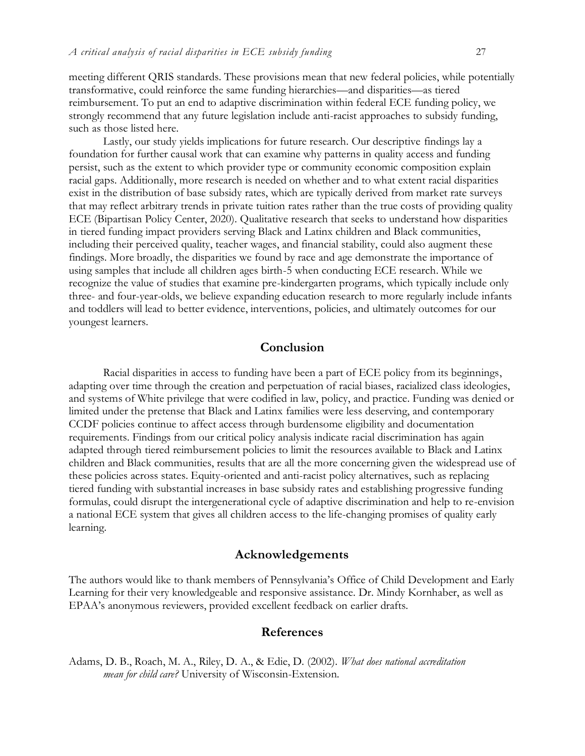meeting different QRIS standards. These provisions mean that new federal policies, while potentially transformative, could reinforce the same funding hierarchies—and disparities—as tiered reimbursement. To put an end to adaptive discrimination within federal ECE funding policy, we strongly recommend that any future legislation include anti-racist approaches to subsidy funding, such as those listed here.

Lastly, our study yields implications for future research. Our descriptive findings lay a foundation for further causal work that can examine why patterns in quality access and funding persist, such as the extent to which provider type or community economic composition explain racial gaps. Additionally, more research is needed on whether and to what extent racial disparities exist in the distribution of base subsidy rates, which are typically derived from market rate surveys that may reflect arbitrary trends in private tuition rates rather than the true costs of providing quality ECE (Bipartisan Policy Center, 2020). Qualitative research that seeks to understand how disparities in tiered funding impact providers serving Black and Latinx children and Black communities, including their perceived quality, teacher wages, and financial stability, could also augment these findings. More broadly, the disparities we found by race and age demonstrate the importance of using samples that include all children ages birth-5 when conducting ECE research. While we recognize the value of studies that examine pre-kindergarten programs, which typically include only three- and four-year-olds, we believe expanding education research to more regularly include infants and toddlers will lead to better evidence, interventions, policies, and ultimately outcomes for our youngest learners.

## **Conclusion**

Racial disparities in access to funding have been a part of ECE policy from its beginnings, adapting over time through the creation and perpetuation of racial biases, racialized class ideologies, and systems of White privilege that were codified in law, policy, and practice. Funding was denied or limited under the pretense that Black and Latinx families were less deserving, and contemporary CCDF policies continue to affect access through burdensome eligibility and documentation requirements. Findings from our critical policy analysis indicate racial discrimination has again adapted through tiered reimbursement policies to limit the resources available to Black and Latinx children and Black communities, results that are all the more concerning given the widespread use of these policies across states. Equity-oriented and anti-racist policy alternatives, such as replacing tiered funding with substantial increases in base subsidy rates and establishing progressive funding formulas, could disrupt the intergenerational cycle of adaptive discrimination and help to re-envision a national ECE system that gives all children access to the life-changing promises of quality early learning.

#### **Acknowledgements**

The authors would like to thank members of Pennsylvania's Office of Child Development and Early Learning for their very knowledgeable and responsive assistance. Dr. Mindy Kornhaber, as well as EPAA's anonymous reviewers, provided excellent feedback on earlier drafts.

#### **References**

Adams, D. B., Roach, M. A., Riley, D. A., & Edie, D. (2002). *What does national accreditation mean for child care?* University of Wisconsin-Extension.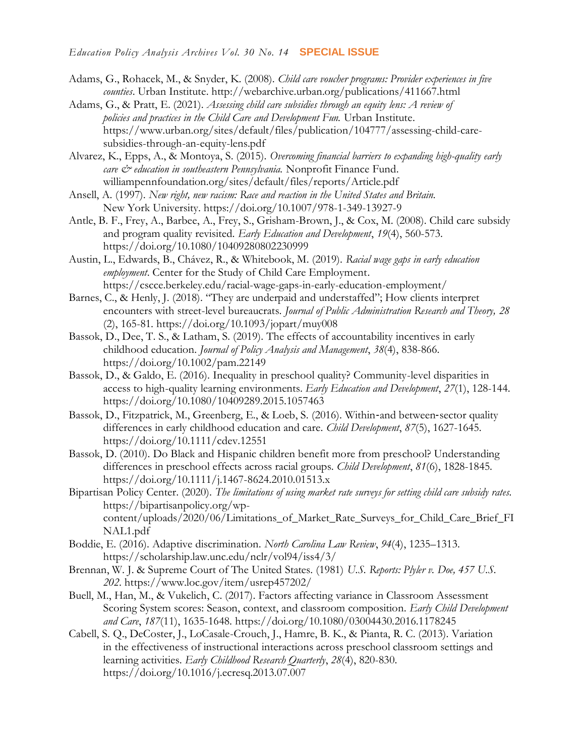- Adams, G., Rohacek, M., & Snyder, K. (2008). *Child care voucher programs: Provider experiences in five counties*. Urban Institute.<http://webarchive.urban.org/publications/411667.html>
- Adams, G., & Pratt, E. (2021). *Assessing child care subsidies through an equity lens: A review of policies and practices in the Child Care and Development Fun.* Urban Institute. [https://www.urban.org/sites/default/files/publication/104777/assessing-child-care](https://www.urban.org/sites/default/files/publication/104777/assessing-child-care-subsidies-through-an-equity-lens.pdf)[subsidies-through-an-equity-lens.pdf](https://www.urban.org/sites/default/files/publication/104777/assessing-child-care-subsidies-through-an-equity-lens.pdf)
- Alvarez, K., Epps, A., & Montoya, S. (2015). *Overcoming financial barriers to expanding high-quality early care & education in southeastern Pennsylvania.* Nonprofit Finance Fund. williampennfoundation.org/sites/default/files/reports/Article.pdf
- Ansell, A. (1997). *New right, new racism: Race and reaction in the United States and Britain.* New York University.<https://doi.org/10.1007/978-1-349-13927-9>
- Antle, B. F., Frey, A., Barbee, A., Frey, S., Grisham-Brown, J., & Cox, M. (2008). Child care subsidy and program quality revisited. *Early Education and Development*, *19*(4), 560-573. <https://doi.org/10.1080/10409280802230999>
- Austin, L., Edwards, B., Chávez, R., & Whitebook, M. (2019). *Racial wage gaps in early education employment*. Center for the Study of Child Care Employment. <https://cscce.berkeley.edu/racial-wage-gaps-in-early-education-employment/>
- Barnes, C., & Henly, J. (2018). "They are underpaid and understaffed"; How clients interpret encounters with street-level bureaucrats. *Journal of Public Administration Research and Theory, 28* (2), 165-81.<https://doi.org/10.1093/jopart/muy008>
- Bassok, D., Dee, T. S., & Latham, S. (2019). The effects of accountability incentives in early childhood education. *Journal of Policy Analysis and Management*, *38*(4), 838-866. <https://doi.org/10.1002/pam.22149>
- Bassok, D., & Galdo, E. (2016). Inequality in preschool quality? Community-level disparities in access to high-quality learning environments. *Early Education and Development*, *27*(1), 128-144. <https://doi.org/10.1080/10409289.2015.1057463>
- Bassok, D., Fitzpatrick, M., Greenberg, E., & Loeb, S. (2016). Within‐and between‐sector quality differences in early childhood education and care. *Child Development*, *87*(5), 1627-1645. <https://doi.org/10.1111/cdev.12551>
- Bassok, D. (2010). Do Black and Hispanic children benefit more from preschool? Understanding differences in preschool effects across racial groups. *Child Development*, *81*(6), 1828-1845. <https://doi.org/10.1111/j.1467-8624.2010.01513.x>
- Bipartisan Policy Center. (2020). *The limitations of using market rate surveys for setting child care subsidy rates.*  [https://bipartisanpolicy.org/wp](https://bipartisanpolicy.org/wp-content/uploads/2020/06/Limitations_of_Market_Rate_Surveys_for_Child_Care_Brief_FINAL1.pdf)[content/uploads/2020/06/Limitations\\_of\\_Market\\_Rate\\_Surveys\\_for\\_Child\\_Care\\_Brief\\_FI](https://bipartisanpolicy.org/wp-content/uploads/2020/06/Limitations_of_Market_Rate_Surveys_for_Child_Care_Brief_FINAL1.pdf) [NAL1.pdf](https://bipartisanpolicy.org/wp-content/uploads/2020/06/Limitations_of_Market_Rate_Surveys_for_Child_Care_Brief_FINAL1.pdf)
- Boddie, E. (2016). Adaptive discrimination. *North Carolina Law Review*, *94*(4), 1235–1313. <https://scholarship.law.unc.edu/nclr/vol94/iss4/3/>
- Brennan, W. J. & Supreme Court of The United States. (1981) *U.S. Reports: Plyler v. Doe, 457 U.S. 202*.<https://www.loc.gov/item/usrep457202/>
- Buell, M., Han, M., & Vukelich, C. (2017). Factors affecting variance in Classroom Assessment Scoring System scores: Season, context, and classroom composition. *Early Child Development and Care*, *187*(11), 1635-1648.<https://doi.org/10.1080/03004430.2016.1178245>
- Cabell, S. Q., DeCoster, J., LoCasale-Crouch, J., Hamre, B. K., & Pianta, R. C. (2013). Variation in the effectiveness of instructional interactions across preschool classroom settings and learning activities. *Early Childhood Research Quarterly*, *28*(4), 820-830. <https://doi.org/10.1016/j.ecresq.2013.07.007>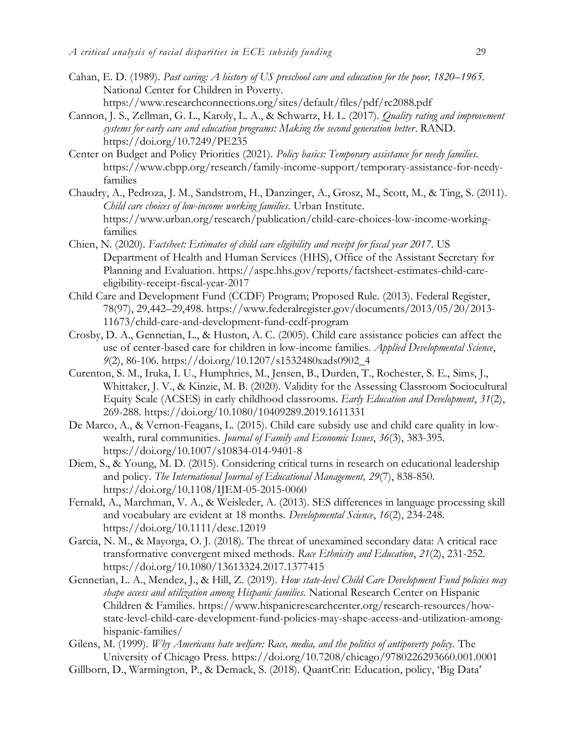- Cahan, E. D. (1989). *Past caring: A history of US preschool care and education for the poor, 1820–1965*. National Center for Children in Poverty. <https://www.researchconnections.org/sites/default/files/pdf/rc2088.pdf>
- Cannon, J. S., Zellman, G. L., Karoly, L. A., & Schwartz, H. L. (2017). *Quality rating and improvement systems for early care and education programs: Making the second generation better*. RAND. <https://doi.org/10.7249/PE235>
- Center on Budget and Policy Priorities (2021). *Policy basics: Temporary assistance for needy families.*  [https://www.cbpp.org/research/family-income-support/temporary-assistance-for-needy](https://www.cbpp.org/research/family-income-support/temporary-assistance-for-needy-families)[families](https://www.cbpp.org/research/family-income-support/temporary-assistance-for-needy-families)
- Chaudry, A., Pedroza, J. M., Sandstrom, H., Danzinger, A., Grosz, M., Scott, M., & Ting, S. (2011). *Child care choices of low-income working families*. Urban Institute. [https://www.urban.org/research/publication/child-care-choices-low-income-working](https://www.urban.org/research/publication/child-care-choices-low-income-working-families)[families](https://www.urban.org/research/publication/child-care-choices-low-income-working-families)
- Chien, N. (2020). *Factsheet: Estimates of child care eligibility and receipt for fiscal year 2017*. US Department of Health and Human Services (HHS), Office of the Assistant Secretary for Planning and Evaluation. [https://aspe.hhs.gov/reports/factsheet-estimates-child-care](https://aspe.hhs.gov/reports/factsheet-estimates-child-care-eligibility-receipt-fiscal-year-2017)[eligibility-receipt-fiscal-year-2017](https://aspe.hhs.gov/reports/factsheet-estimates-child-care-eligibility-receipt-fiscal-year-2017)
- Child Care and Development Fund (CCDF) Program; Proposed Rule. (2013). Federal Register, 78(97), 29,442–29,498. [https://www.federalregister.gov/documents/2013/05/20/2013-](https://www.federalregister.gov/documents/2013/05/20/2013-11673/child-care-and-development-fund-ccdf-program) [11673/child-care-and-development-fund-ccdf-program](https://www.federalregister.gov/documents/2013/05/20/2013-11673/child-care-and-development-fund-ccdf-program)
- Crosby, D. A., Gennetian, L., & Huston, A. C. (2005). Child care assistance policies can affect the use of center-based care for children in low-income families. *Applied Developmental Science*, *9*(2), 86-106. [https://doi.org/10.1207/s1532480xads0902\\_4](https://doi.org/10.1207/s1532480xads0902_4)
- Curenton, S. M., Iruka, I. U., Humphries, M., Jensen, B., Durden, T., Rochester, S. E., Sims, J., Whittaker, J. V., & Kinzie, M. B. (2020). Validity for the Assessing Classroom Sociocultural Equity Scale (ACSES) in early childhood classrooms. *Early Education and Development*, *31*(2), 269-288.<https://doi.org/10.1080/10409289.2019.1611331>
- De Marco, A., & Vernon-Feagans, L. (2015). Child care subsidy use and child care quality in lowwealth, rural communities. *Journal of Family and Economic Issues*, *36*(3), 383-395. <https://doi.org/10.1007/s10834-014-9401-8>
- Diem, S., & Young, M. D. (2015). Considering critical turns in research on educational leadership and policy. *The International Journal of Educational Management, 29*(7), 838-850. <https://doi.org/10.1108/IJEM-05-2015-0060>
- Fernald, A., Marchman, V. A., & Weisleder, A. (2013). SES differences in language processing skill and vocabulary are evident at 18 months. *Developmental Science*, *16*(2), 234-248. <https://doi.org/10.1111/desc.12019>
- Garcia, N. M., & Mayorga, O. J. (2018). The threat of unexamined secondary data: A critical race transformative convergent mixed methods. *Race Ethnicity and Education*, *21*(2), 231-252. <https://doi.org/10.1080/13613324.2017.1377415>
- Gennetian, L. A., Mendez, J., & Hill, Z. (2019). *How state-level Child Care Development Fund policies may shape access and utilization among Hispanic families.* National Research Center on Hispanic Children & Families. [https://www.hispanicresearchcenter.org/research-resources/how](https://www.hispanicresearchcenter.org/research-resources/how-state-level-child-care-development-fund-policies-may-shape-access-and-utilization-among-hispanic-families/)[state-level-child-care-development-fund-policies-may-shape-access-and-utilization-among](https://www.hispanicresearchcenter.org/research-resources/how-state-level-child-care-development-fund-policies-may-shape-access-and-utilization-among-hispanic-families/)[hispanic-families/](https://www.hispanicresearchcenter.org/research-resources/how-state-level-child-care-development-fund-policies-may-shape-access-and-utilization-among-hispanic-families/)
- Gilens, M. (1999). *Why Americans hate welfare: Race, media, and the politics of antipoverty policy.* The University of Chicago Press.<https://doi.org/10.7208/chicago/9780226293660.001.0001>
- Gillborn, D., Warmington, P., & Demack, S. (2018). QuantCrit: Education, policy, 'Big Data'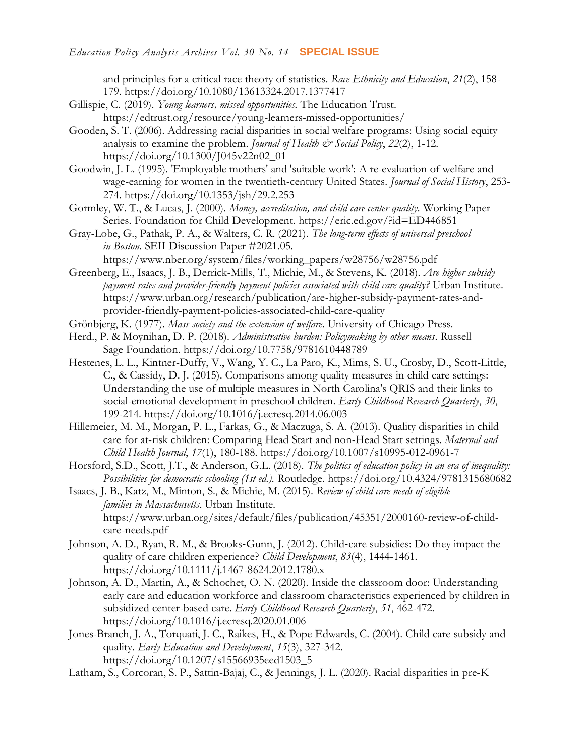and principles for a critical race theory of statistics. *Race Ethnicity and Education*, *21*(2), 158- 179.<https://doi.org/10.1080/13613324.2017.1377417>

- Gillispie, C. (2019). *Young learners, missed opportunities.* The Education Trust. https://edtrust.org/resource/young-learners-missed-opportunities/
- Gooden, S. T. (2006). Addressing racial disparities in social welfare programs: Using social equity analysis to examine the problem. *Journal of Health & Social Policy*, 22(2), 1-12. [https://doi.org/10.1300/J045v22n02\\_01](https://doi.org/10.1300/J045v22n02_01)
- Goodwin, J. L. (1995). 'Employable mothers' and 'suitable work': A re-evaluation of welfare and wage-earning for women in the twentieth-century United States. *Journal of Social History*, 253- 274.<https://doi.org/10.1353/jsh/29.2.253>
- Gormley, W. T., & Lucas, J. (2000). *Money, accreditation, and child care center quality.* Working Paper Series. Foundation for Child Development.<https://eric.ed.gov/?id=ED446851>
- Gray-Lobe, G., Pathak, P. A., & Walters, C. R. (2021). *The long-term effects of universal preschool in Boston*. SEII Discussion Paper #2021.05. [https://www.nber.org/system/files/working\\_papers/w28756/w28756.pdf](https://www.nber.org/system/files/working_papers/w28756/w28756.pdf)
- Greenberg, E., Isaacs, J. B., Derrick-Mills, T., Michie, M., & Stevens, K. (2018). *Are higher subsidy payment rates and provider-friendly payment policies associated with child care quality?* Urban Institute. [https://www.urban.org/research/publication/are-higher-subsidy-payment-rates-and](https://www.urban.org/research/publication/are-higher-subsidy-payment-rates-and-provider-friendly-payment-policies-associated-child-care-quality)[provider-friendly-payment-policies-associated-child-care-quality](https://www.urban.org/research/publication/are-higher-subsidy-payment-rates-and-provider-friendly-payment-policies-associated-child-care-quality)
- Grönbjerg, K. (1977). *Mass society and the extension of welfare*. University of Chicago Press.
- Herd., P. & Moynihan, D. P. (2018). *Administrative burden: Policymaking by other means*. Russell Sage Foundation.<https://doi.org/10.7758/9781610448789>
- Hestenes, L. L., Kintner-Duffy, V., Wang, Y. C., La Paro, K., Mims, S. U., Crosby, D., Scott-Little, C., & Cassidy, D. J. (2015). Comparisons among quality measures in child care settings: Understanding the use of multiple measures in North Carolina's QRIS and their links to social-emotional development in preschool children. *Early Childhood Research Quarterly*, *30*, 199-214.<https://doi.org/10.1016/j.ecresq.2014.06.003>
- Hillemeier, M. M., Morgan, P. L., Farkas, G., & Maczuga, S. A. (2013). Quality disparities in child care for at-risk children: Comparing Head Start and non-Head Start settings. *Maternal and Child Health Journal*, *17*(1), 180-188.<https://doi.org/10.1007/s10995-012-0961-7>
- Horsford, S.D., Scott, J.T., & Anderson, G.L. (2018). *The politics of education policy in an era of inequality: Possibilities for democratic schooling (1st ed.).* Routledge. https://doi.org/10.4324/9781315680682
- Isaacs, J. B., Katz, M., Minton, S., & Michie, M. (2015). *Review of child care needs of eligible families in Massachusetts*. Urban Institute*.*  [https://www.urban.org/sites/default/files/publication/45351/2000160-review-of-child](https://www.urban.org/sites/default/files/publication/45351/2000160-review-of-child-care-needs.pdf)[care-needs.pdf](https://www.urban.org/sites/default/files/publication/45351/2000160-review-of-child-care-needs.pdf)
- Johnson, A. D., Ryan, R. M., & Brooks‐Gunn, J. (2012). Child‐care subsidies: Do they impact the quality of care children experience? *Child Development*, *83*(4), 1444-1461. <https://doi.org/10.1111/j.1467-8624.2012.1780.x>
- Johnson, A. D., Martin, A., & Schochet, O. N. (2020). Inside the classroom door: Understanding early care and education workforce and classroom characteristics experienced by children in subsidized center-based care. *Early Childhood Research Quarterly*, *51*, 462-472. <https://doi.org/10.1016/j.ecresq.2020.01.006>
- Jones-Branch, J. A., Torquati, J. C., Raikes, H., & Pope Edwards, C. (2004). Child care subsidy and quality. *Early Education and Development*, *15*(3), 327-342. [https://doi.org/10.1207/s15566935eed1503\\_5](https://doi.org/10.1207/s15566935eed1503_5)
- Latham, S., Corcoran, S. P., Sattin-Bajaj, C., & Jennings, J. L. (2020). Racial disparities in pre-K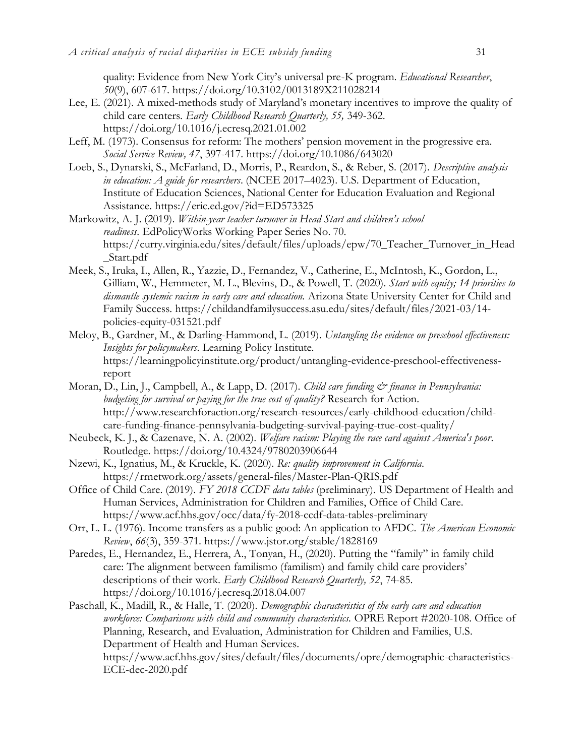quality: Evidence from New York City's universal pre-K program. *Educational Researcher*, *50*(9), 607-617.<https://doi.org/10.3102/0013189X211028214>

- Lee, E. (2021). A mixed-methods study of Maryland's monetary incentives to improve the quality of child care centers. *Early Childhood Research Quarterly, 55,* 349-362. <https://doi.org/10.1016/j.ecresq.2021.01.002>
- Leff, M. (1973). Consensus for reform: The mothers' pension movement in the progressive era. *Social Service Review, 47*, 397-417.<https://doi.org/10.1086/643020>
- Loeb, S., Dynarski, S., McFarland, D., Morris, P., Reardon, S., & Reber, S. (2017). *Descriptive analysis in education: A guide for researchers*. (NCEE 2017–4023). U.S. Department of Education, Institute of Education Sciences, National Center for Education Evaluation and Regional Assistance.<https://eric.ed.gov/?id=ED573325>
- Markowitz, A. J. (2019). *Within-year teacher turnover in Head Start and children's school readiness*. EdPolicyWorks Working Paper Series No. 70. [https://curry.virginia.edu/sites/default/files/uploads/epw/70\\_Teacher\\_Turnover\\_in\\_Head](https://curry.virginia.edu/sites/default/files/uploads/epw/70_Teacher_Turnover_in_Head_Start.pdf) [\\_Start.pdf](https://curry.virginia.edu/sites/default/files/uploads/epw/70_Teacher_Turnover_in_Head_Start.pdf)
- Meek, S., Iruka, I., Allen, R., Yazzie, D., Fernandez, V., Catherine, E., McIntosh, K., Gordon, L., Gilliam, W., Hemmeter, M. L., Blevins, D., & Powell, T. (2020). *Start with equity; 14 priorities to dismantle systemic racism in early care and education.* Arizona State University Center for Child and Family Success. [https://childandfamilysuccess.asu.edu/sites/default/files/2021-03/14](https://childandfamilysuccess.asu.edu/sites/default/files/2021-03/14-policies-equity-031521.pdf) [policies-equity-031521.pdf](https://childandfamilysuccess.asu.edu/sites/default/files/2021-03/14-policies-equity-031521.pdf)
- Meloy, B., Gardner, M., & Darling-Hammond, L. (2019). *Untangling the evidence on preschool effectiveness: Insights for policymakers.* Learning Policy Institute. [https://learningpolicyinstitute.org/product/untangling-evidence-preschool-effectiveness](https://learningpolicyinstitute.org/product/untangling-evidence-preschool-effectiveness-report)[report](https://learningpolicyinstitute.org/product/untangling-evidence-preschool-effectiveness-report)
- Moran, D., Lin, J., Campbell, A., & Lapp, D. (2017). *Child care funding & finance in Pennsylvania: budgeting for survival or paying for the true cost of quality?* Research for Action. [http://www.researchforaction.org/research-resources/early-childhood-education/child](http://www.researchforaction.org/research-resources/early-childhood-education/child-care-funding-finance-pennsylvania-budgeting-survival-paying-true-cost-quality/)[care-funding-finance-pennsylvania-budgeting-survival-paying-true-cost-quality/](http://www.researchforaction.org/research-resources/early-childhood-education/child-care-funding-finance-pennsylvania-budgeting-survival-paying-true-cost-quality/)
- Neubeck, K. J., & Cazenave, N. A. (2002). *Welfare racism: Playing the race card against America's poor*. Routledge.<https://doi.org/10.4324/9780203906644>
- Nzewi, K., Ignatius, M., & Kruckle, K. (2020). *Re: quality improvement in California*. <https://rrnetwork.org/assets/general-files/Master-Plan-QRIS.pdf>
- Office of Child Care. (2019). *FY 2018 CCDF data tables* (preliminary). US Department of Health and Human Services, Administration for Children and Families, Office of Child Care. <https://www.acf.hhs.gov/occ/data/fy-2018-ccdf-data-tables-preliminary>
- Orr, L. L. (1976). Income transfers as a public good: An application to AFDC. *The American Economic Review*, *66*(3), 359-371.<https://www.jstor.org/stable/1828169>
- Paredes, E., Hernandez, E., Herrera, A., Tonyan, H., (2020). Putting the "family" in family child care: The alignment between familismo (familism) and family child care providers' descriptions of their work. *Early Childhood Research Quarterly, 52*, 74-85. <https://doi.org/10.1016/j.ecresq.2018.04.007>
- Paschall, K., Madill, R., & Halle, T. (2020). *Demographic characteristics of the early care and education workforce: Comparisons with child and community characteristics.* OPRE Report #2020-108. Office of Planning, Research, and Evaluation, Administration for Children and Families, U.S. Department of Health and Human Services. [https://www.acf.hhs.gov/sites/default/files/documents/opre/demographic-characteristics-](https://www.acf.hhs.gov/sites/default/files/documents/opre/demographic-characteristics-ECE-dec-2020.pdf)[ECE-dec-2020.pdf](https://www.acf.hhs.gov/sites/default/files/documents/opre/demographic-characteristics-ECE-dec-2020.pdf)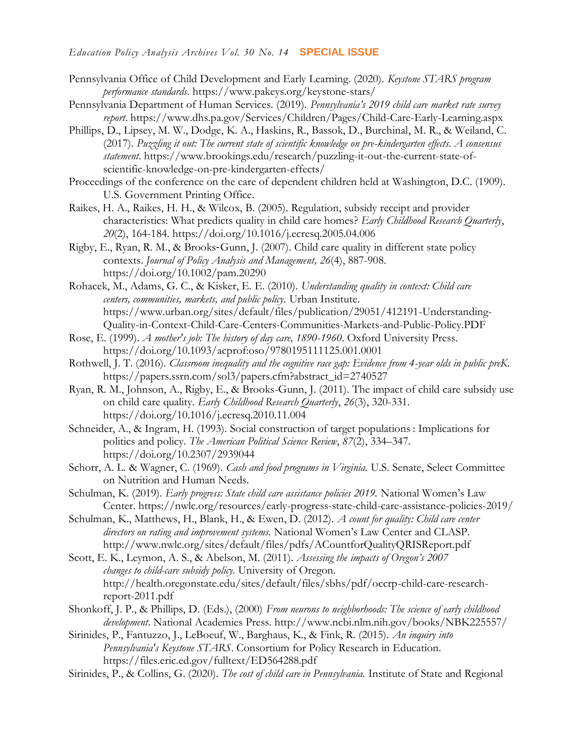- Pennsylvania Office of Child Development and Early Learning. (2020). *Keystone STARS program performance standards*.<https://www.pakeys.org/keystone-stars/>
- Pennsylvania Department of Human Services. (2019). *Pennsylvania's 2019 child care market rate survey report*.<https://www.dhs.pa.gov/Services/Children/Pages/Child-Care-Early-Learning.aspx>
- Phillips, D., Lipsey, M. W., Dodge, K. A., Haskins, R., Bassok, D., Burchinal, M. R., & Weiland, C. (2017). *Puzzling it out: The current state of scientific knowledge on pre-kindergarten effects. A consensus statement*. [https://www.brookings.edu/research/puzzling-it-out-the-current-state-of](https://www.brookings.edu/research/puzzling-it-out-the-current-state-of-scientific-knowledge-on-pre-kindergarten-effects/)[scientific-knowledge-on-pre-kindergarten-effects/](https://www.brookings.edu/research/puzzling-it-out-the-current-state-of-scientific-knowledge-on-pre-kindergarten-effects/)
- Proceedings of the conference on the care of dependent children held at Washington, D.C. (1909). U.S. Government Printing Office.
- Raikes, H. A., Raikes, H. H., & Wilcox, B. (2005). Regulation, subsidy receipt and provider characteristics: What predicts quality in child care homes? *Early Childhood Research Quarterly*, *20*(2), 164-184.<https://doi.org/10.1016/j.ecresq.2005.04.006>
- Rigby, E., Ryan, R. M., & Brooks‐Gunn, J. (2007). Child care quality in different state policy contexts. *Journal of Policy Analysis and Management, 26*(4), 887-908. <https://doi.org/10.1002/pam.20290>
- Rohacek, M., Adams, G. C., & Kisker, E. E. (2010). *Understanding quality in context: Child care centers, communities, markets, and public policy.* Urban Institute. [https://www.urban.org/sites/default/files/publication/29051/412191-Understanding-](https://www.urban.org/sites/default/files/publication/29051/412191-Understanding-Quality-in-Context-Child-Care-Centers-Communities-Markets-and-Public-Policy.PDF)[Quality-in-Context-Child-Care-Centers-Communities-Markets-and-Public-Policy.PDF](https://www.urban.org/sites/default/files/publication/29051/412191-Understanding-Quality-in-Context-Child-Care-Centers-Communities-Markets-and-Public-Policy.PDF)
- Rose, E. (1999). *A mother's job: The history of day care, 1890-1960*. Oxford University Press. <https://doi.org/10.1093/acprof:oso/9780195111125.001.0001>
- Rothwell, J. T. (2016). *Classroom inequality and the cognitive race gap: Evidence from 4-year olds in public preK*. [https://papers.ssrn.com/sol3/papers.cfm?abstract\\_id=2740527](https://papers.ssrn.com/sol3/papers.cfm?abstract_id=2740527)
- Ryan, R. M., Johnson, A., Rigby, E., & Brooks-Gunn, J. (2011). The impact of child care subsidy use on child care quality. *Early Childhood Research Quarterly*, *26*(3), 320-331. <https://doi.org/10.1016/j.ecresq.2010.11.004>
- Schneider, A., & Ingram, H. (1993). Social construction of target populations : Implications for politics and policy. *The American Political Science Review*, *87*(2), 334–347. <https://doi.org/10.2307/2939044>
- Schorr, A. L. & Wagner, C. (1969). *Cash and food programs in Virginia.* U.S. Senate, Select Committee on Nutrition and Human Needs.
- Schulman, K. (2019). *Early progress: State child care assistance policies 2019.* National Women's Law Center.<https://nwlc.org/resources/early-progress-state-child-care-assistance-policies-2019/>
- Schulman, K., Matthews, H., Blank, H., & Ewen, D. (2012). *A count for quality: Child care center directors on rating and improvement systems.* National Women's Law Center and CLASP. <http://www.nwlc.org/sites/default/files/pdfs/ACountforQualityQRISReport.pdf>
- Scott, E. K., Leymon, A. S., & Abelson, M. (2011). *Assessing the impacts of Oregon's 2007 changes to child-care subsidy policy.* University of Oregon. [http://health.oregonstate.edu/sites/default/files/sbhs/pdf/occrp-child-care-research](http://health.oregonstate.edu/sites/default/files/sbhs/pdf/occrp-child-care-research-report-2011.pdf)[report-2011.pdf](http://health.oregonstate.edu/sites/default/files/sbhs/pdf/occrp-child-care-research-report-2011.pdf)
- Shonkoff, J. P., & Phillips, D. (Eds.), (2000) *From neurons to neighborhoods: The science of early childhood development*. National Academies Press.<http://www.ncbi.nlm.nih.gov/books/NBK225557/>
- Sirinides, P., Fantuzzo, J., LeBoeuf, W., Barghaus, K., & Fink, R. (2015). *An inquiry into Pennsylvania's Keystone STARS*. Consortium for Policy Research in Education. <https://files.eric.ed.gov/fulltext/ED564288.pdf>
- Sirinides, P., & Collins, G. (2020). *The cost of child care in Pennsylvania.* Institute of State and Regional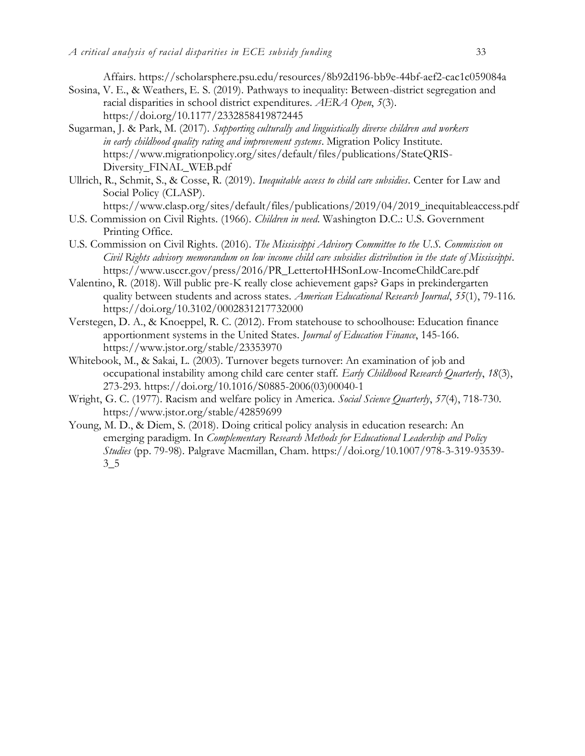Affairs.<https://scholarsphere.psu.edu/resources/8b92d196-bb9e-44bf-aef2-cac1c059084a> Sosina, V. E., & Weathers, E. S. (2019). Pathways to inequality: Between-district segregation and

- racial disparities in school district expenditures. *AERA Open*, *5*(3). <https://doi.org/10.1177/2332858419872445>
- Sugarman, J. & Park, M. (2017). *Supporting culturally and linguistically diverse children and workers in early childhood quality rating and improvement systems*. Migration Policy Institute. [https://www.migrationpolicy.org/sites/default/files/publications/StateQRIS-](https://www.migrationpolicy.org/sites/default/files/publications/StateQRIS-Diversity_FINAL_WEB.pdf)[Diversity\\_FINAL\\_WEB.pdf](https://www.migrationpolicy.org/sites/default/files/publications/StateQRIS-Diversity_FINAL_WEB.pdf)
- Ullrich, R., Schmit, S., & Cosse, R. (2019). *Inequitable access to child care subsidies*. Center for Law and Social Policy (CLASP).
	- [https://www.clasp.org/sites/default/files/publications/2019/04/2019\\_inequitableaccess.pdf](https://www.clasp.org/sites/default/files/publications/2019/04/2019_inequitableaccess.pdf)
- U.S. Commission on Civil Rights. (1966). *Children in need*. Washington D.C.: U.S. Government Printing Office.
- U.S. Commission on Civil Rights. (2016). *The Mississippi Advisory Committee to the U.S. Commission on Civil Rights advisory memorandum on low income child care subsidies distribution in the state of Mississippi*. [https://www.usccr.gov/press/2016/PR\\_LettertoHHSonLow-IncomeChildCare.pdf](https://www.usccr.gov/press/2016/PR_LettertoHHSonLow-IncomeChildCare.pdf)
- Valentino, R. (2018). Will public pre-K really close achievement gaps? Gaps in prekindergarten quality between students and across states. *American Educational Research Journal*, *55*(1), 79-116. <https://doi.org/10.3102/0002831217732000>
- Verstegen, D. A., & Knoeppel, R. C. (2012). From statehouse to schoolhouse: Education finance apportionment systems in the United States. *Journal of Education Finance*, 145-166. <https://www.jstor.org/stable/23353970>
- Whitebook, M., & Sakai, L. (2003). Turnover begets turnover: An examination of job and occupational instability among child care center staff. *Early Childhood Research Quarterly*, *18*(3), 273-293. [https://doi.org/10.1016/S0885-2006\(03\)00040-1](https://doi.org/10.1016/S0885-2006(03)00040-1)
- Wright, G. C. (1977). Racism and welfare policy in America. *Social Science Quarterly*, *57*(4), 718-730. <https://www.jstor.org/stable/42859699>
- Young, M. D., & Diem, S. (2018). Doing critical policy analysis in education research: An emerging paradigm. In *Complementary Research Methods for Educational Leadership and Policy Studies* (pp. 79-98). Palgrave Macmillan, Cham. [https://doi.org/10.1007/978-3-319-93539-](https://doi.org/10.1007/978-3-319-93539-3_5)  $3\_5$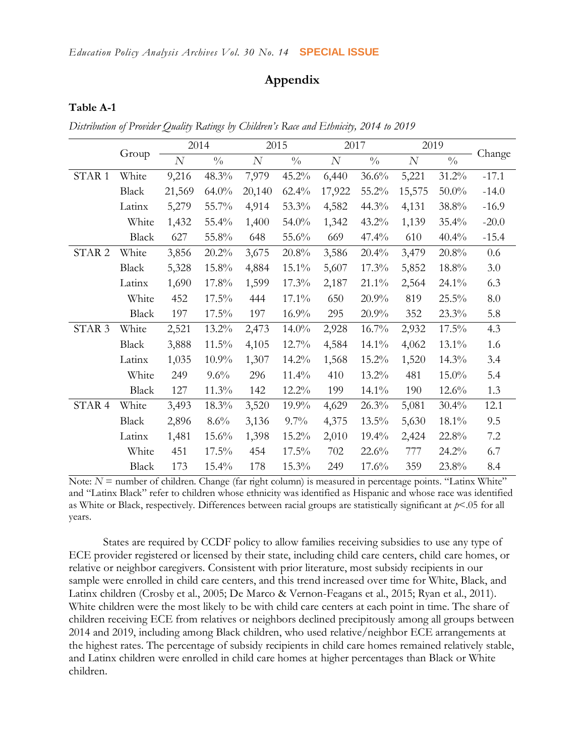## **Appendix**

#### **Table A-1**

*Distribution of Provider Quality Ratings by Children's Race and Ethnicity, 2014 to 2019*

|                   |              |                | 2014            |          | 2015            | 2017     |               |          | 2019          |         |
|-------------------|--------------|----------------|-----------------|----------|-----------------|----------|---------------|----------|---------------|---------|
|                   | Group        | $\overline{N}$ | $\sqrt[0]{\!0}$ | $\cal N$ | $\sqrt[0]{\!0}$ | $\cal N$ | $\frac{0}{0}$ | $\cal N$ | $\frac{0}{0}$ | Change  |
| STAR <sub>1</sub> | White        | 9,216          | 48.3%           | 7,979    | 45.2%           | 6,440    | 36.6%         | 5,221    | 31.2%         | $-17.1$ |
|                   | <b>Black</b> | 21,569         | $64.0\%$        | 20,140   | $62.4\%$        | 17,922   | 55.2%         | 15,575   | $50.0\%$      | $-14.0$ |
|                   | Latinx       | 5,279          | 55.7%           | 4,914    | 53.3%           | 4,582    | 44.3%         | 4,131    | 38.8%         | $-16.9$ |
|                   | White        | 1,432          | 55.4%           | 1,400    | 54.0%           | 1,342    | 43.2%         | 1,139    | $35.4\%$      | $-20.0$ |
|                   | <b>Black</b> | 627            | 55.8%           | 648      | 55.6%           | 669      | 47.4%         | 610      | 40.4%         | $-15.4$ |
| STAR <sub>2</sub> | White        | 3,856          | 20.2%           | 3,675    | 20.8%           | 3,586    | $20.4\%$      | 3,479    | 20.8%         | 0.6     |
|                   | <b>Black</b> | 5,328          | 15.8%           | 4,884    | $15.1\%$        | 5,607    | 17.3%         | 5,852    | 18.8%         | 3.0     |
|                   | Latinx       | 1,690          | 17.8%           | 1,599    | 17.3%           | 2,187    | $21.1\%$      | 2,564    | $24.1\%$      | 6.3     |
|                   | White        | 452            | $17.5\%$        | 444      | 17.1%           | 650      | 20.9%         | 819      | 25.5%         | 8.0     |
|                   | <b>Black</b> | 197            | 17.5%           | 197      | 16.9%           | 295      | 20.9%         | 352      | 23.3%         | 5.8     |
| STAR <sub>3</sub> | White        | 2,521          | 13.2%           | 2,473    | $14.0\%$        | 2,928    | 16.7%         | 2,932    | 17.5%         | 4.3     |
|                   | Black        | 3,888          | 11.5%           | 4,105    | 12.7%           | 4,584    | 14.1%         | 4,062    | 13.1%         | 1.6     |
|                   | Latinx       | 1,035          | $10.9\%$        | 1,307    | 14.2%           | 1,568    | 15.2%         | 1,520    | 14.3%         | 3.4     |
|                   | White        | 249            | 9.6%            | 296      | 11.4%           | 410      | 13.2%         | 481      | 15.0%         | 5.4     |
|                   | <b>Black</b> | 127            | 11.3%           | 142      | $12.2\%$        | 199      | $14.1\%$      | 190      | 12.6%         | 1.3     |
| STAR 4            | White        | 3,493          | 18.3%           | 3,520    | 19.9%           | 4,629    | 26.3%         | 5,081    | 30.4%         | 12.1    |
|                   | Black        | 2,896          | $8.6\%$         | 3,136    | $9.7\%$         | 4,375    | 13.5%         | 5,630    | 18.1%         | 9.5     |
|                   | Latinx       | 1,481          | $15.6\%$        | 1,398    | 15.2%           | 2,010    | 19.4%         | 2,424    | 22.8%         | 7.2     |
|                   | White        | 451            | $17.5\%$        | 454      | $17.5\%$        | 702      | 22.6%         | 777      | 24.2%         | 6.7     |
|                   | <b>Black</b> | 173            | 15.4%           | 178      | 15.3%           | 249      | 17.6%         | 359      | 23.8%         | 8.4     |

Note:  $N =$  number of children. Change (far right column) is measured in percentage points. "Latinx White" and "Latinx Black" refer to children whose ethnicity was identified as Hispanic and whose race was identified as White or Black, respectively. Differences between racial groups are statistically significant at *p*<.05 for all years.

States are required by CCDF policy to allow families receiving subsidies to use any type of ECE provider registered or licensed by their state, including child care centers, child care homes, or relative or neighbor caregivers. Consistent with prior literature, most subsidy recipients in our sample were enrolled in child care centers, and this trend increased over time for White, Black, and Latinx children (Crosby et al., 2005; De Marco & Vernon-Feagans et al., 2015; Ryan et al., 2011). White children were the most likely to be with child care centers at each point in time. The share of children receiving ECE from relatives or neighbors declined precipitously among all groups between 2014 and 2019, including among Black children, who used relative/neighbor ECE arrangements at the highest rates. The percentage of subsidy recipients in child care homes remained relatively stable, and Latinx children were enrolled in child care homes at higher percentages than Black or White children.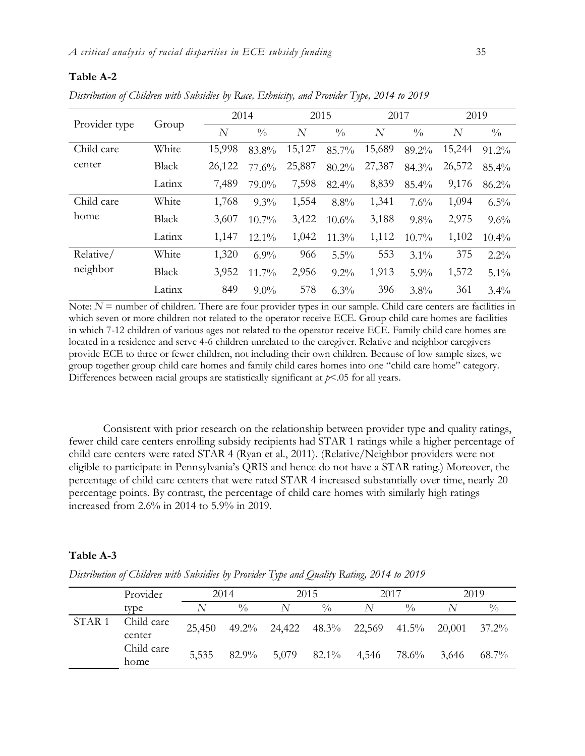#### **Table A-2**

*Distribution of Children with Subsidies by Race, Ethnicity, and Provider Type, 2014 to 2019*

|               |              | 2014   |               | 2015           |               | 2017           |               | 2019   |               |
|---------------|--------------|--------|---------------|----------------|---------------|----------------|---------------|--------|---------------|
| Provider type | Group        | N      | $\frac{0}{0}$ | $\overline{N}$ | $\frac{0}{0}$ | $\overline{N}$ | $\frac{0}{0}$ | N      | $\frac{0}{0}$ |
| Child care    | White        | 15,998 | 83.8%         | 15,127         | 85.7%         | 15,689         | 89.2%         | 15,244 | 91.2%         |
| center        | <b>Black</b> | 26,122 | 77.6%         | 25,887         | 80.2%         | 27,387         | 84.3%         | 26,572 | 85.4%         |
|               | Latinx       | 7,489  | 79.0%         | 7,598          | 82.4%         | 8,839          | 85.4%         | 9,176  | 86.2%         |
| Child care    | White        | 1,768  | $9.3\%$       | 1,554          | 8.8%          | 1,341          | 7.6%          | 1,094  | $6.5\%$       |
| home          | <b>Black</b> | 3,607  | $10.7\%$      | 3,422          | $10.6\%$      | 3,188          | $9.8\%$       | 2,975  | 9.6%          |
|               | Latinx       | 1,147  | $12.1\%$      | 1,042          | 11.3%         | 1,112          | $10.7\%$      | 1,102  | 10.4%         |
| Relative/     | White        | 1,320  | $6.9\%$       | 966            | 5.5%          | 553            | $3.1\%$       | 375    | $2.2\%$       |
| neighbor      | <b>Black</b> | 3,952  | $11.7\%$      | 2,956          | $9.2\%$       | 1,913          | 5.9%          | 1,572  | $5.1\%$       |
|               | Latinx       | 849    | $9.0\%$       | 578            | $6.3\%$       | 396            | 3.8%          | 361    | $3.4\%$       |

Note:  $N =$  number of children. There are four provider types in our sample. Child care centers are facilities in which seven or more children not related to the operator receive ECE. Group child care homes are facilities in which 7-12 children of various ages not related to the operator receive ECE. Family child care homes are located in a residence and serve 4-6 children unrelated to the caregiver. Relative and neighbor caregivers provide ECE to three or fewer children, not including their own children. Because of low sample sizes, we group together group child care homes and family child cares homes into one "child care home" category. Differences between racial groups are statistically significant at *p*<.05 for all years.

Consistent with prior research on the relationship between provider type and quality ratings, fewer child care centers enrolling subsidy recipients had STAR 1 ratings while a higher percentage of child care centers were rated STAR 4 (Ryan et al., 2011). (Relative/Neighbor providers were not eligible to participate in Pennsylvania's QRIS and hence do not have a STAR rating.) Moreover, the percentage of child care centers that were rated STAR 4 increased substantially over time, nearly 20 percentage points. By contrast, the percentage of child care homes with similarly high ratings increased from 2.6% in 2014 to 5.9% in 2019.

#### **Table A-3**

*Distribution of Children with Subsidies by Provider Type and Quality Rating, 2014 to 2019*

|                   | Provider             |        | 2014          |                                 | 2015             |             | 2017          |        | 2019        |
|-------------------|----------------------|--------|---------------|---------------------------------|------------------|-------------|---------------|--------|-------------|
|                   | type                 | N      | $\frac{0}{0}$ |                                 | $\frac{0}{0}$    |             | $\frac{0}{0}$ |        | $^{0}/_{0}$ |
| STAR <sub>1</sub> | Child care<br>center | 25,450 |               | 49.2% 24,422 48.3% 22,569 41.5% |                  |             |               | 20,001 | $37.2\%$    |
|                   | Child care<br>home   | 5,535  | 82.9%         |                                 | $5,079$ $82.1\%$ | 4,546 78.6% |               | 3,646  | $68.7\%$    |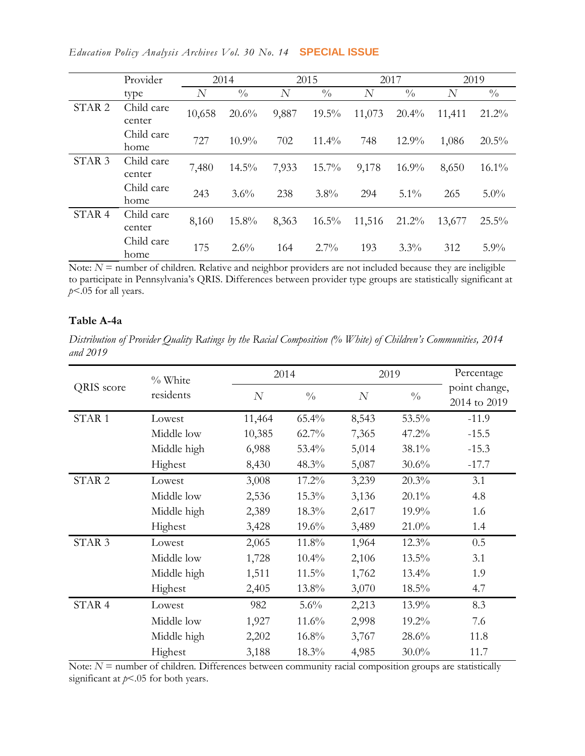|                   | Provider             |        | 2014          |                  | 2015          |        | 2017          |        | 2019          |
|-------------------|----------------------|--------|---------------|------------------|---------------|--------|---------------|--------|---------------|
|                   | type                 | N      | $\frac{0}{0}$ | $\boldsymbol{N}$ | $\frac{0}{0}$ | N      | $\frac{0}{0}$ | N      | $\frac{0}{0}$ |
| STAR <sub>2</sub> | Child care<br>center | 10,658 | 20.6%         | 9,887            | $19.5\%$      | 11,073 | $20.4\%$      | 11,411 | $21.2\%$      |
|                   | Child care<br>home   | 727    | $10.9\%$      | 702              | $11.4\%$      | 748    | $12.9\%$      | 1,086  | $20.5\%$      |
| STAR <sub>3</sub> | Child care<br>center | 7,480  | $14.5\%$      | 7,933            | $15.7\%$      | 9,178  | $16.9\%$      | 8,650  | $16.1\%$      |
|                   | Child care<br>home   | 243    | $3.6\%$       | 238              | $3.8\%$       | 294    | $5.1\%$       | 265    | $5.0\%$       |
| STAR <sub>4</sub> | Child care<br>center | 8,160  | $15.8\%$      | 8,363            | $16.5\%$      | 11,516 | $21.2\%$      | 13,677 | 25.5%         |
|                   | Child care<br>home   | 175    | $2.6\%$       | 164              | $2.7\%$       | 193    | $3.3\%$       | 312    | $5.9\%$       |

Note:  $N =$  number of children. Relative and neighbor providers are not included because they are ineligible to participate in Pennsylvania's QRIS. Differences between provider type groups are statistically significant at *p*<.05 for all years.

## **Table A-4a**

*Distribution of Provider Quality Ratings by the Racial Composition (% White) of Children's Communities, 2014 and 2019*

|                   | % White     |        | 2014          |          | 2019          | Percentage                    |
|-------------------|-------------|--------|---------------|----------|---------------|-------------------------------|
| QRIS score        | residents   | N      | $\frac{0}{0}$ | $\cal N$ | $\frac{0}{0}$ | point change,<br>2014 to 2019 |
| STAR <sub>1</sub> | Lowest      | 11,464 | 65.4%         | 8,543    | 53.5%         | $-11.9$                       |
|                   | Middle low  | 10,385 | $62.7\%$      | 7,365    | 47.2%         | $-15.5$                       |
|                   | Middle high | 6,988  | 53.4%         | 5,014    | 38.1%         | $-15.3$                       |
|                   | Highest     | 8,430  | 48.3%         | 5,087    | 30.6%         | $-17.7$                       |
| STAR <sub>2</sub> | Lowest      | 3,008  | 17.2%         | 3,239    | 20.3%         | 3.1                           |
|                   | Middle low  | 2,536  | 15.3%         | 3,136    | $20.1\%$      | 4.8                           |
|                   | Middle high | 2,389  | 18.3%         | 2,617    | 19.9%         | 1.6                           |
|                   | Highest     | 3,428  | 19.6%         | 3,489    | 21.0%         | 1.4                           |
| STAR <sub>3</sub> | Lowest      | 2,065  | 11.8%         | 1,964    | 12.3%         | 0.5                           |
|                   | Middle low  | 1,728  | 10.4%         | 2,106    | 13.5%         | 3.1                           |
|                   | Middle high | 1,511  | 11.5%         | 1,762    | $13.4\%$      | 1.9                           |
|                   | Highest     | 2,405  | 13.8%         | 3,070    | $18.5\%$      | 4.7                           |
| STAR 4            | Lowest      | 982    | 5.6%          | 2,213    | 13.9%         | 8.3                           |
|                   | Middle low  | 1,927  | 11.6%         | 2,998    | 19.2%         | 7.6                           |
|                   | Middle high | 2,202  | 16.8%         | 3,767    | 28.6%         | 11.8                          |
|                   | Highest     | 3,188  | 18.3%         | 4,985    | $30.0\%$      | 11.7                          |

Note:  $N =$  number of children. Differences between community racial composition groups are statistically significant at *p*<.05 for both years.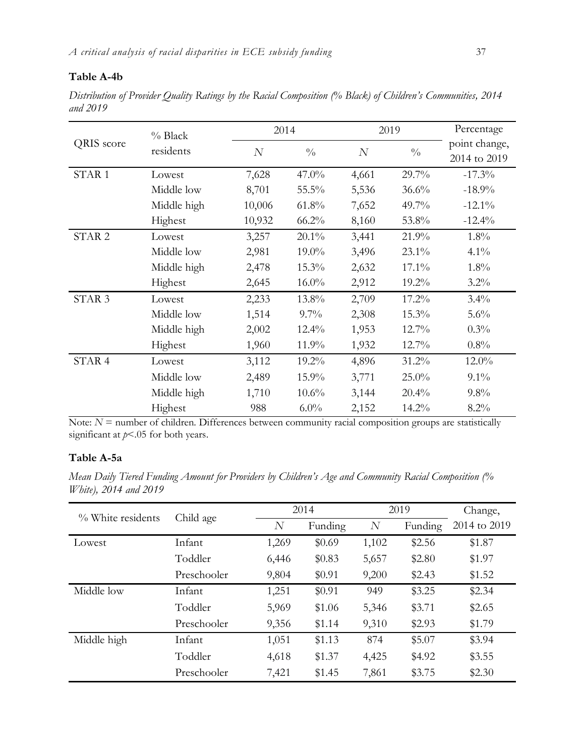## **Table A-4b**

*Distribution of Provider Quality Ratings by the Racial Composition (% Black) of Children's Communities, 2014 and 2019*

|                   | $%$ Black   |        | 2014          |       | 2019          | Percentage                    |
|-------------------|-------------|--------|---------------|-------|---------------|-------------------------------|
| QRIS score        | residents   | N      | $\frac{0}{0}$ | N     | $\frac{0}{0}$ | point change,<br>2014 to 2019 |
| STAR <sub>1</sub> | Lowest      | 7,628  | $47.0\%$      | 4,661 | 29.7%         | $-17.3%$                      |
|                   | Middle low  | 8,701  | 55.5%         | 5,536 | 36.6%         | $-18.9%$                      |
|                   | Middle high | 10,006 | $61.8\%$      | 7,652 | 49.7%         | $-12.1\%$                     |
|                   | Highest     | 10,932 | $66.2\%$      | 8,160 | 53.8%         | $-12.4%$                      |
| STAR <sub>2</sub> | Lowest      | 3,257  | $20.1\%$      | 3,441 | 21.9%         | 1.8%                          |
|                   | Middle low  | 2,981  | 19.0%         | 3,496 | 23.1%         | $4.1\%$                       |
|                   | Middle high | 2,478  | 15.3%         | 2,632 | 17.1%         | 1.8%                          |
|                   | Highest     | 2,645  | $16.0\%$      | 2,912 | 19.2%         | $3.2\%$                       |
| STAR <sub>3</sub> | Lowest      | 2,233  | 13.8%         | 2,709 | 17.2%         | $3.4\%$                       |
|                   | Middle low  | 1,514  | $9.7\%$       | 2,308 | 15.3%         | 5.6%                          |
|                   | Middle high | 2,002  | 12.4%         | 1,953 | 12.7%         | $0.3\%$                       |
|                   | Highest     | 1,960  | 11.9%         | 1,932 | 12.7%         | $0.8\%$                       |
| STAR <sub>4</sub> | Lowest      | 3,112  | 19.2%         | 4,896 | 31.2%         | $12.0\%$                      |
|                   | Middle low  | 2,489  | 15.9%         | 3,771 | $25.0\%$      | $9.1\%$                       |
|                   | Middle high | 1,710  | 10.6%         | 3,144 | 20.4%         | $9.8\%$                       |
|                   | Highest     | 988    | $6.0\%$       | 2,152 | 14.2%         | $8.2\%$                       |

Note:  $N$  = number of children. Differences between community racial composition groups are statistically significant at *p*<.05 for both years.

## **Table A-5a**

*Mean Daily Tiered Funding Amount for Providers by Children's Age and Community Racial Composition (% White), 2014 and 2019*

| % White residents |             |       | 2014    |                | 2019    | Change,      |
|-------------------|-------------|-------|---------|----------------|---------|--------------|
|                   | Child age   | N     | Funding | $\overline{N}$ | Funding | 2014 to 2019 |
| Lowest            | Infant      | 1,269 | \$0.69  | 1,102          | \$2.56  | \$1.87       |
|                   | Toddler     | 6,446 | \$0.83  | 5,657          | \$2.80  | \$1.97       |
|                   | Preschooler | 9,804 | \$0.91  | 9,200          | \$2.43  | \$1.52       |
| Middle low        | Infant      | 1,251 | \$0.91  | 949            | \$3.25  | \$2.34       |
|                   | Toddler     | 5,969 | \$1.06  | 5,346          | \$3.71  | \$2.65       |
|                   | Preschooler | 9,356 | \$1.14  | 9,310          | \$2.93  | \$1.79       |
| Middle high       | Infant      | 1,051 | \$1.13  | 874            | \$5.07  | \$3.94       |
|                   | Toddler     | 4,618 | \$1.37  | 4,425          | \$4.92  | \$3.55       |
|                   | Preschooler | 7,421 | \$1.45  | 7,861          | \$3.75  | \$2.30       |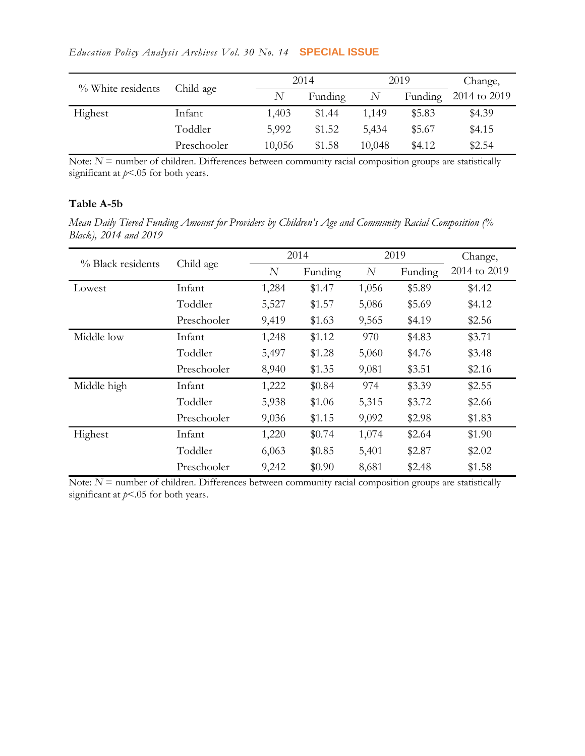|  |  |  | Education Policy Analysis Archives Vol. 30 No. 14 <b>SPECIAL ISSUE</b> |  |
|--|--|--|------------------------------------------------------------------------|--|
|  |  |  |                                                                        |  |

| % White residents |             |        | 2014    |        | 2019    | Change,      |
|-------------------|-------------|--------|---------|--------|---------|--------------|
|                   | Child age   |        | Funding |        | Funding | 2014 to 2019 |
| Highest           | Infant      | 1,403  | \$1.44  | 1,149  | \$5.83  | \$4.39       |
|                   | Toddler     | 5,992  | \$1.52  | 5,434  | \$5.67  | \$4.15       |
|                   | Preschooler | 10,056 | \$1.58  | 10,048 | \$4.12  | \$2.54       |

Note: *N* = number of children. Differences between community racial composition groups are statistically significant at *p*<.05 for both years.

## **Table A-5b**

*Mean Daily Tiered Funding Amount for Providers by Children's Age and Community Racial Composition (% Black), 2014 and 2019*

| % Black residents |             |                | 2014    |       | 2019    | Change,      |
|-------------------|-------------|----------------|---------|-------|---------|--------------|
|                   | Child age   | $\overline{N}$ | Funding | N     | Funding | 2014 to 2019 |
| Lowest            | Infant      | 1,284          | \$1.47  | 1,056 | \$5.89  | \$4.42       |
|                   | Toddler     | 5,527          | \$1.57  | 5,086 | \$5.69  | \$4.12       |
|                   | Preschooler | 9,419          | \$1.63  | 9,565 | \$4.19  | \$2.56       |
| Middle low        | Infant      | 1,248          | \$1.12  | 970   | \$4.83  | \$3.71       |
|                   | Toddler     | 5,497          | \$1.28  | 5,060 | \$4.76  | \$3.48       |
|                   | Preschooler | 8,940          | \$1.35  | 9,081 | \$3.51  | \$2.16       |
| Middle high       | Infant      | 1,222          | \$0.84  | 974   | \$3.39  | \$2.55       |
|                   | Toddler     | 5,938          | \$1.06  | 5,315 | \$3.72  | \$2.66       |
|                   | Preschooler | 9,036          | \$1.15  | 9,092 | \$2.98  | \$1.83       |
| Highest           | Infant      | 1,220          | \$0.74  | 1,074 | \$2.64  | \$1.90       |
|                   | Toddler     | 6,063          | \$0.85  | 5,401 | \$2.87  | \$2.02       |
|                   | Preschooler | 9,242          | \$0.90  | 8,681 | \$2.48  | \$1.58       |

Note:  $N =$  number of children. Differences between community racial composition groups are statistically significant at *p*<.05 for both years.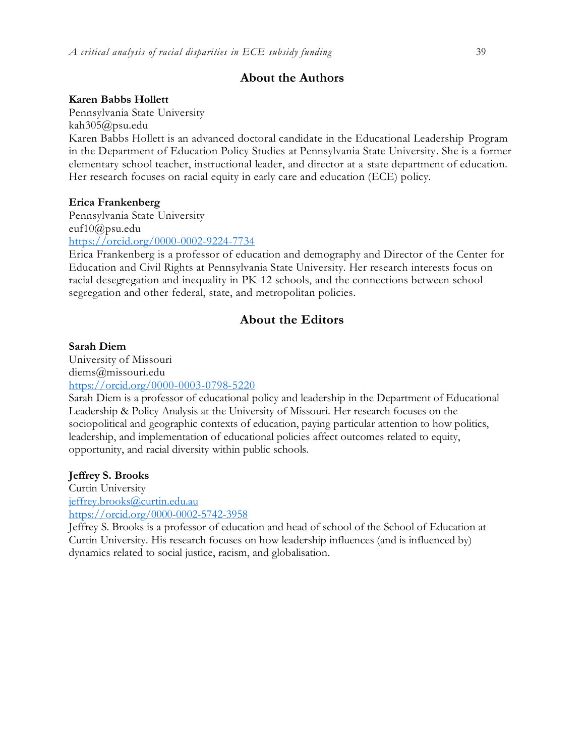## **About the Authors**

### **Karen Babbs Hollett**

Pennsylvania State University kah305@psu.edu Karen Babbs Hollett is an advanced doctoral candidate in the Educational Leadership Program in the Department of Education Policy Studies at Pennsylvania State University. She is a former elementary school teacher, instructional leader, and director at a state department of education. Her research focuses on racial equity in early care and education (ECE) policy.

#### **Erica Frankenberg**

Pennsylvania State University euf10@psu.edu <https://orcid.org/0000-0002-9224-7734>

Erica Frankenberg is a professor of education and demography and Director of the Center for Education and Civil Rights at Pennsylvania State University. Her research interests focus on racial desegregation and inequality in PK-12 schools, and the connections between school segregation and other federal, state, and metropolitan policies.

## **About the Editors**

#### **Sarah Diem**

University of Missouri diems@missouri.edu <https://orcid.org/0000-0003-0798-5220>

Sarah Diem is a professor of educational policy and leadership in the Department of Educational Leadership & Policy Analysis at the University of Missouri. Her research focuses on the sociopolitical and geographic contexts of education, paying particular attention to how politics, leadership, and implementation of educational policies affect outcomes related to equity, opportunity, and racial diversity within public schools.

#### **Jeffrey S. Brooks**

Curtin University [jeffrey.brooks@curtin.edu.au](mailto:jeffrey.brooks@curtin.edu.au) <https://orcid.org/0000-0002-5742-3958>

Jeffrey S. Brooks is a professor of education and head of school of the School of Education at Curtin University. His research focuses on how leadership influences (and is influenced by) dynamics related to social justice, racism, and globalisation.